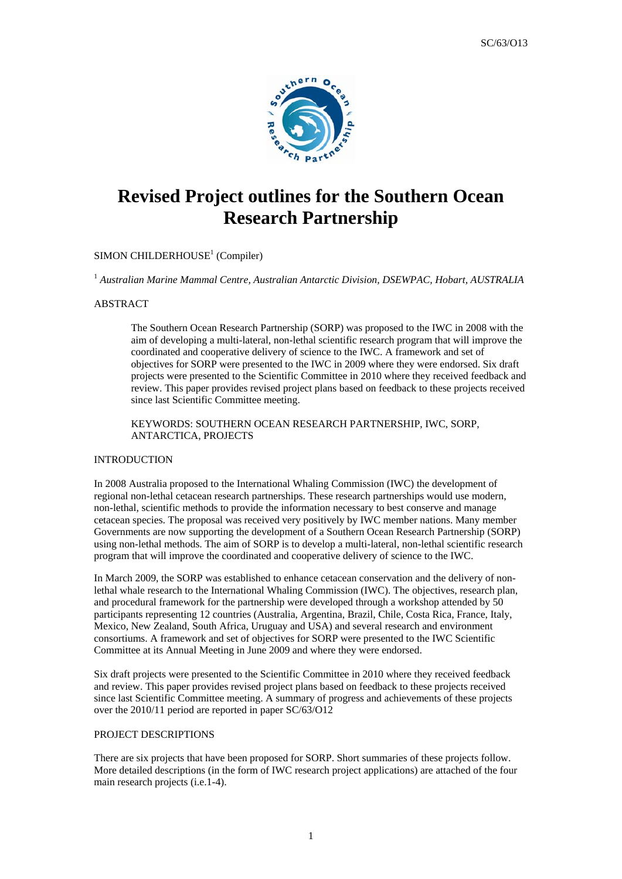

# **Revised Project outlines for the Southern Ocean Research Partnership**

# SIMON CHILDERHOUSE<sup>1</sup> (Compiler)

1  *Australian Marine Mammal Centre, Australian Antarctic Division, DSEWPAC, Hobart, AUSTRALIA* 

## ABSTRACT

The Southern Ocean Research Partnership (SORP) was proposed to the IWC in 2008 with the aim of developing a multi-lateral, non-lethal scientific research program that will improve the coordinated and cooperative delivery of science to the IWC. A framework and set of objectives for SORP were presented to the IWC in 2009 where they were endorsed. Six draft projects were presented to the Scientific Committee in 2010 where they received feedback and review. This paper provides revised project plans based on feedback to these projects received since last Scientific Committee meeting.

KEYWORDS: SOUTHERN OCEAN RESEARCH PARTNERSHIP, IWC, SORP, ANTARCTICA, PROJECTS

#### INTRODUCTION

In 2008 Australia proposed to the International Whaling Commission (IWC) the development of regional non-lethal cetacean research partnerships. These research partnerships would use modern, non-lethal, scientific methods to provide the information necessary to best conserve and manage cetacean species. The proposal was received very positively by IWC member nations. Many member Governments are now supporting the development of a Southern Ocean Research Partnership (SORP) using non-lethal methods. The aim of SORP is to develop a multi-lateral, non-lethal scientific research program that will improve the coordinated and cooperative delivery of science to the IWC.

In March 2009, the SORP was established to enhance cetacean conservation and the delivery of nonlethal whale research to the International Whaling Commission (IWC). The objectives, research plan, and procedural framework for the partnership were developed through a workshop attended by 50 participants representing 12 countries (Australia, Argentina, Brazil, Chile, Costa Rica, France, Italy, Mexico, New Zealand, South Africa, Uruguay and USA) and several research and environment consortiums. A framework and set of objectives for SORP were presented to the IWC Scientific Committee at its Annual Meeting in June 2009 and where they were endorsed.

Six draft projects were presented to the Scientific Committee in 2010 where they received feedback and review. This paper provides revised project plans based on feedback to these projects received since last Scientific Committee meeting. A summary of progress and achievements of these projects over the 2010/11 period are reported in paper SC/63/O12

#### PROJECT DESCRIPTIONS

There are six projects that have been proposed for SORP. Short summaries of these projects follow. More detailed descriptions (in the form of IWC research project applications) are attached of the four main research projects (i.e.1-4).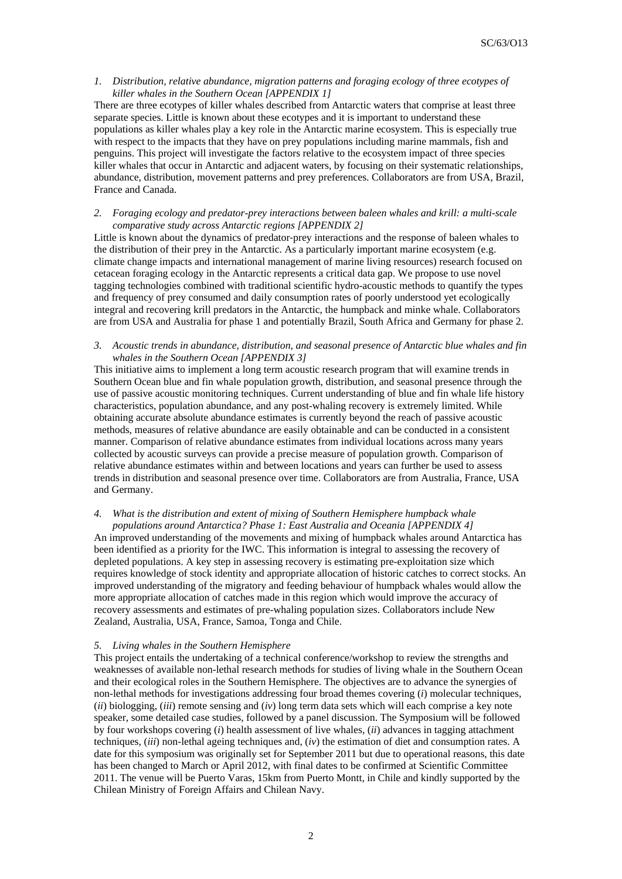## *1. Distribution, relative abundance, migration patterns and foraging ecology of three ecotypes of killer whales in the Southern Ocean [APPENDIX 1]*

There are three ecotypes of killer whales described from Antarctic waters that comprise at least three separate species. Little is known about these ecotypes and it is important to understand these populations as killer whales play a key role in the Antarctic marine ecosystem. This is especially true with respect to the impacts that they have on prey populations including marine mammals, fish and penguins. This project will investigate the factors relative to the ecosystem impact of three species killer whales that occur in Antarctic and adjacent waters, by focusing on their systematic relationships, abundance, distribution, movement patterns and prey preferences. Collaborators are from USA, Brazil, France and Canada.

### *2. Foraging ecology and predator-prey interactions between baleen whales and krill: a multi-scale comparative study across Antarctic regions [APPENDIX 2]*

Little is known about the dynamics of predator‐prey interactions and the response of baleen whales to the distribution of their prey in the Antarctic. As a particularly important marine ecosystem (e.g. climate change impacts and international management of marine living resources) research focused on cetacean foraging ecology in the Antarctic represents a critical data gap. We propose to use novel tagging technologies combined with traditional scientific hydro-acoustic methods to quantify the types and frequency of prey consumed and daily consumption rates of poorly understood yet ecologically integral and recovering krill predators in the Antarctic, the humpback and minke whale. Collaborators are from USA and Australia for phase 1 and potentially Brazil, South Africa and Germany for phase 2.

#### *3. Acoustic trends in abundance, distribution, and seasonal presence of Antarctic blue whales and fin whales in the Southern Ocean [APPENDIX 3]*

This initiative aims to implement a long term acoustic research program that will examine trends in Southern Ocean blue and fin whale population growth, distribution, and seasonal presence through the use of passive acoustic monitoring techniques. Current understanding of blue and fin whale life history characteristics, population abundance, and any post-whaling recovery is extremely limited. While obtaining accurate absolute abundance estimates is currently beyond the reach of passive acoustic methods, measures of relative abundance are easily obtainable and can be conducted in a consistent manner. Comparison of relative abundance estimates from individual locations across many years collected by acoustic surveys can provide a precise measure of population growth. Comparison of relative abundance estimates within and between locations and years can further be used to assess trends in distribution and seasonal presence over time. Collaborators are from Australia, France, USA and Germany.

## *4. What is the distribution and extent of mixing of Southern Hemisphere humpback whale populations around Antarctica? Phase 1: East Australia and Oceania [APPENDIX 4]*

An improved understanding of the movements and mixing of humpback whales around Antarctica has been identified as a priority for the IWC. This information is integral to assessing the recovery of depleted populations. A key step in assessing recovery is estimating pre-exploitation size which requires knowledge of stock identity and appropriate allocation of historic catches to correct stocks. An improved understanding of the migratory and feeding behaviour of humpback whales would allow the more appropriate allocation of catches made in this region which would improve the accuracy of recovery assessments and estimates of pre-whaling population sizes. Collaborators include New Zealand, Australia, USA, France, Samoa, Tonga and Chile.

### *5. Living whales in the Southern Hemisphere*

This project entails the undertaking of a technical conference/workshop to review the strengths and weaknesses of available non-lethal research methods for studies of living whale in the Southern Ocean and their ecological roles in the Southern Hemisphere. The objectives are to advance the synergies of non-lethal methods for investigations addressing four broad themes covering (*i*) molecular techniques, (*ii*) biologging, (*iii*) remote sensing and (*iv*) long term data sets which will each comprise a key note speaker, some detailed case studies, followed by a panel discussion. The Symposium will be followed by four workshops covering (*i*) health assessment of live whales, (*ii*) advances in tagging attachment techniques, (*iii*) non-lethal ageing techniques and, (*iv*) the estimation of diet and consumption rates. A date for this symposium was originally set for September 2011 but due to operational reasons, this date has been changed to March or April 2012, with final dates to be confirmed at Scientific Committee 2011. The venue will be Puerto Varas, 15km from Puerto Montt, in Chile and kindly supported by the Chilean Ministry of Foreign Affairs and Chilean Navy.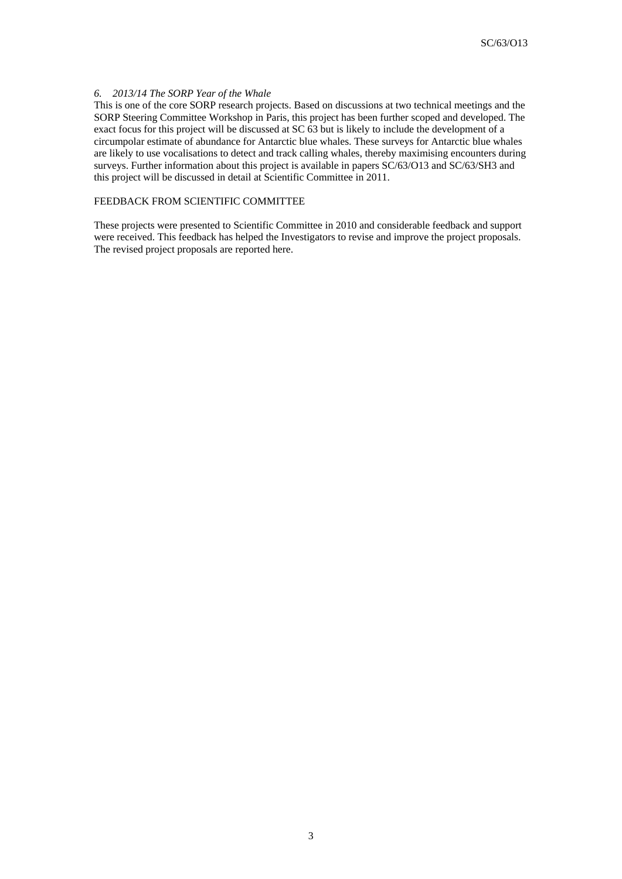### *6. 2013/14 The SORP Year of the Whale*

This is one of the core SORP research projects. Based on discussions at two technical meetings and the SORP Steering Committee Workshop in Paris, this project has been further scoped and developed. The exact focus for this project will be discussed at SC 63 but is likely to include the development of a circumpolar estimate of abundance for Antarctic blue whales. These surveys for Antarctic blue whales are likely to use vocalisations to detect and track calling whales, thereby maximising encounters during surveys. Further information about this project is available in papers SC/63/O13 and SC/63/SH3 and this project will be discussed in detail at Scientific Committee in 2011.

## FEEDBACK FROM SCIENTIFIC COMMITTEE

These projects were presented to Scientific Committee in 2010 and considerable feedback and support were received. This feedback has helped the Investigators to revise and improve the project proposals. The revised project proposals are reported here.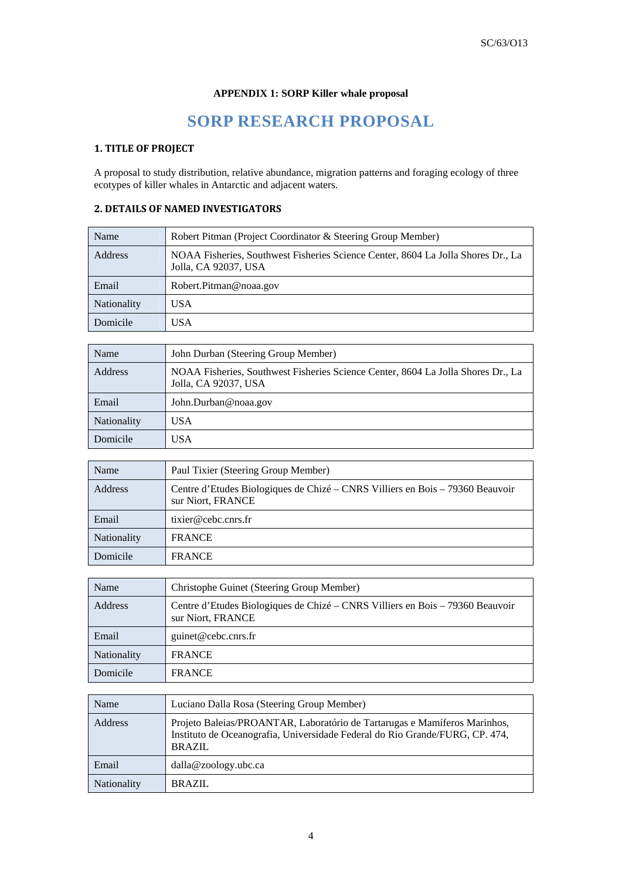# **APPENDIX 1: SORP Killer whale proposal**

# **SORP RESEARCH PROPOSAL**

# **1. TITLE OF PROJECT**

A proposal to study distribution, relative abundance, migration patterns and foraging ecology of three ecotypes of killer whales in Antarctic and adjacent waters.

# **2. DETAILS OF NAMED INVESTIGATORS**

| Name               | Robert Pitman (Project Coordinator & Steering Group Member)                                              |  |  |
|--------------------|----------------------------------------------------------------------------------------------------------|--|--|
| Address            | NOAA Fisheries, Southwest Fisheries Science Center, 8604 La Jolla Shores Dr., La<br>Jolla, CA 92037, USA |  |  |
| Email              | Robert.Pitman@noaa.gov                                                                                   |  |  |
| <b>Nationality</b> | USA                                                                                                      |  |  |
| Domicile           | USA                                                                                                      |  |  |

| Name        | John Durban (Steering Group Member)                                                                      |  |
|-------------|----------------------------------------------------------------------------------------------------------|--|
| Address     | NOAA Fisheries, Southwest Fisheries Science Center, 8604 La Jolla Shores Dr., La<br>Jolla, CA 92037, USA |  |
| Email       | John.Durban@noaa.gov                                                                                     |  |
| Nationality | USA                                                                                                      |  |
| Domicile    | USA                                                                                                      |  |

| Name               | Paul Tixier (Steering Group Member)                                                                |  |
|--------------------|----------------------------------------------------------------------------------------------------|--|
| Address            | Centre d'Etudes Biologiques de Chizé – CNRS Villiers en Bois – 79360 Beauvoir<br>sur Niort, FRANCE |  |
| Email              | tixier@cebc.cnrs.fr                                                                                |  |
| <b>Nationality</b> | <b>FRANCE</b>                                                                                      |  |
| Domicile           | <b>FRANCE</b>                                                                                      |  |

| Name               | Christophe Guinet (Steering Group Member)                                                          |
|--------------------|----------------------------------------------------------------------------------------------------|
| Address            | Centre d'Etudes Biologiques de Chizé – CNRS Villiers en Bois – 79360 Beauvoir<br>sur Niort, FRANCE |
| Email              | guinet@cebc.cnrs.fr                                                                                |
| <b>Nationality</b> | <b>FRANCE</b>                                                                                      |
| Domicile           | <b>FRANCE</b>                                                                                      |

| Name               | Luciano Dalla Rosa (Steering Group Member)                                                                                                                                 |  |
|--------------------|----------------------------------------------------------------------------------------------------------------------------------------------------------------------------|--|
| Address            | Projeto Baleias/PROANTAR, Laboratório de Tartarugas e Mamíferos Marinhos,<br>Instituto de Oceanografia, Universidade Federal do Rio Grande/FURG, CP. 474,<br><b>BRAZIL</b> |  |
| Email              | $d$ alla@zoology.ubc.ca                                                                                                                                                    |  |
| <b>Nationality</b> | BRAZIL                                                                                                                                                                     |  |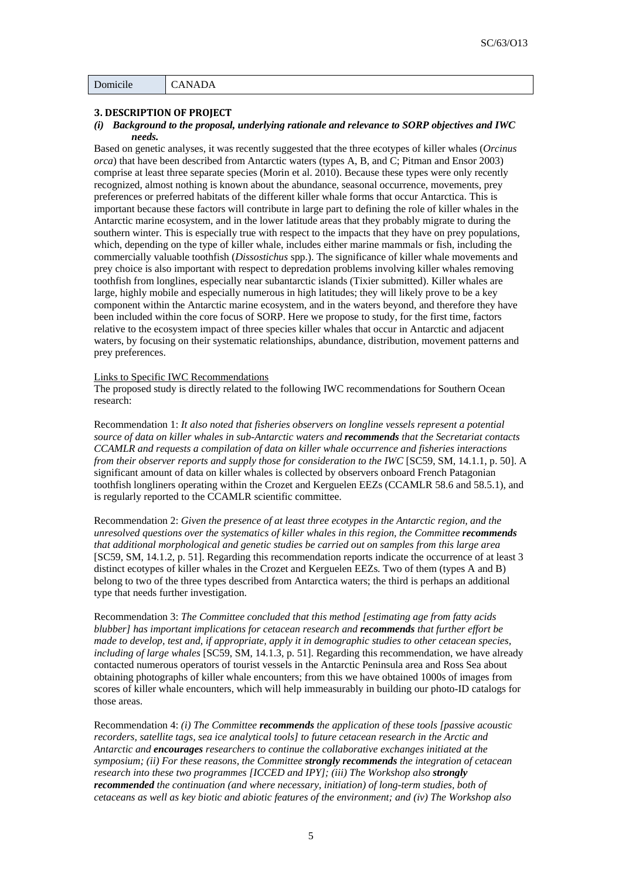## **3. DESCRIPTION OF PROJECT**

### *(i) Background to the proposal, underlying rationale and relevance to SORP objectives and IWC needs.*

Based on genetic analyses, it was recently suggested that the three ecotypes of killer whales (*Orcinus orca*) that have been described from Antarctic waters (types A, B, and C; Pitman and Ensor 2003) comprise at least three separate species (Morin et al. 2010). Because these types were only recently recognized, almost nothing is known about the abundance, seasonal occurrence, movements, prey preferences or preferred habitats of the different killer whale forms that occur Antarctica. This is important because these factors will contribute in large part to defining the role of killer whales in the Antarctic marine ecosystem, and in the lower latitude areas that they probably migrate to during the southern winter. This is especially true with respect to the impacts that they have on prey populations, which, depending on the type of killer whale, includes either marine mammals or fish, including the commercially valuable toothfish (*Dissostichus* spp.). The significance of killer whale movements and prey choice is also important with respect to depredation problems involving killer whales removing toothfish from longlines, especially near subantarctic islands (Tixier submitted). Killer whales are large, highly mobile and especially numerous in high latitudes; they will likely prove to be a key component within the Antarctic marine ecosystem, and in the waters beyond, and therefore they have been included within the core focus of SORP. Here we propose to study, for the first time, factors relative to the ecosystem impact of three species killer whales that occur in Antarctic and adjacent waters, by focusing on their systematic relationships, abundance, distribution, movement patterns and prey preferences.

#### Links to Specific IWC Recommendations

The proposed study is directly related to the following IWC recommendations for Southern Ocean research:

Recommendation 1: *It also noted that fisheries observers on longline vessels represent a potential source of data on killer whales in sub-Antarctic waters and recommends that the Secretariat contacts CCAMLR and requests a compilation of data on killer whale occurrence and fisheries interactions from their observer reports and supply those for consideration to the IWC* [SC59, SM, 14.1.1, p. 50]. A significant amount of data on killer whales is collected by observers onboard French Patagonian toothfish longliners operating within the Crozet and Kerguelen EEZs (CCAMLR 58.6 and 58.5.1), and is regularly reported to the CCAMLR scientific committee.

Recommendation 2: *Given the presence of at least three ecotypes in the Antarctic region, and the unresolved questions over the systematics of killer whales in this region, the Committee <i>recommends that additional morphological and genetic studies be carried out on samples from this large area* [SC59, SM, 14.1.2, p. 51]. Regarding this recommendation reports indicate the occurrence of at least 3 distinct ecotypes of killer whales in the Crozet and Kerguelen EEZs. Two of them (types A and B) belong to two of the three types described from Antarctica waters; the third is perhaps an additional type that needs further investigation.

Recommendation 3: *The Committee concluded that this method [estimating age from fatty acids blubber] has important implications for cetacean research and recommends that further effort be made to develop, test and, if appropriate, apply it in demographic studies to other cetacean species, including of large whales* [SC59, SM, 14.1.3, p. 51]. Regarding this recommendation, we have already contacted numerous operators of tourist vessels in the Antarctic Peninsula area and Ross Sea about obtaining photographs of killer whale encounters; from this we have obtained 1000s of images from scores of killer whale encounters, which will help immeasurably in building our photo-ID catalogs for those areas.

Recommendation 4: *(i) The Committee recommends the application of these tools [passive acoustic recorders, satellite tags, sea ice analytical tools] to future cetacean research in the Arctic and Antarctic and encourages researchers to continue the collaborative exchanges initiated at the symposium; (ii) For these reasons, the Committee strongly recommends the integration of cetacean research into these two programmes [ICCED and IPY]; (iii) The Workshop also strongly recommended the continuation (and where necessary, initiation) of long-term studies, both of cetaceans as well as key biotic and abiotic features of the environment; and (iv) The Workshop also*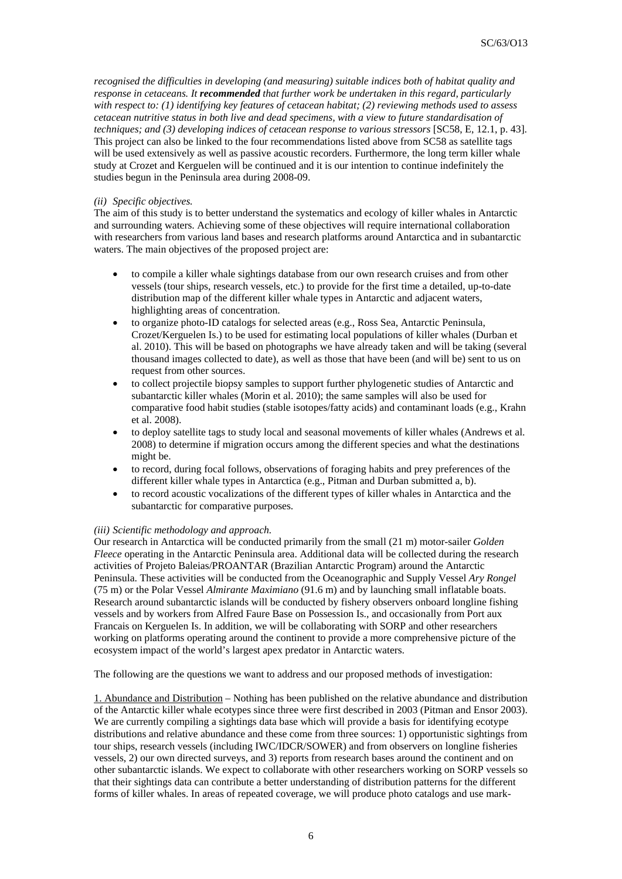*recognised the difficulties in developing (and measuring) suitable indices both of habitat quality and response in cetaceans. It recommended that further work be undertaken in this regard, particularly with respect to: (1) identifying key features of cetacean habitat; (2) reviewing methods used to assess cetacean nutritive status in both live and dead specimens, with a view to future standardisation of techniques; and (3) developing indices of cetacean response to various stressors* [SC58, E, 12.1, p. 43]. This project can also be linked to the four recommendations listed above from SC58 as satellite tags will be used extensively as well as passive acoustic recorders. Furthermore, the long term killer whale study at Crozet and Kerguelen will be continued and it is our intention to continue indefinitely the studies begun in the Peninsula area during 2008-09.

### *(ii) Specific objectives.*

The aim of this study is to better understand the systematics and ecology of killer whales in Antarctic and surrounding waters. Achieving some of these objectives will require international collaboration with researchers from various land bases and research platforms around Antarctica and in subantarctic waters. The main objectives of the proposed project are:

- to compile a killer whale sightings database from our own research cruises and from other vessels (tour ships, research vessels, etc.) to provide for the first time a detailed, up-to-date distribution map of the different killer whale types in Antarctic and adjacent waters, highlighting areas of concentration.
- to organize photo-ID catalogs for selected areas (e.g., Ross Sea, Antarctic Peninsula, Crozet/Kerguelen Is.) to be used for estimating local populations of killer whales (Durban et al. 2010). This will be based on photographs we have already taken and will be taking (several thousand images collected to date), as well as those that have been (and will be) sent to us on request from other sources.
- to collect projectile biopsy samples to support further phylogenetic studies of Antarctic and subantarctic killer whales (Morin et al. 2010); the same samples will also be used for comparative food habit studies (stable isotopes/fatty acids) and contaminant loads (e.g., Krahn et al. 2008).
- to deploy satellite tags to study local and seasonal movements of killer whales (Andrews et al. 2008) to determine if migration occurs among the different species and what the destinations might be.
- to record, during focal follows, observations of foraging habits and prey preferences of the different killer whale types in Antarctica (e.g., Pitman and Durban submitted a, b).
- to record acoustic vocalizations of the different types of killer whales in Antarctica and the subantarctic for comparative purposes.

### *(iii) Scientific methodology and approach.*

Our research in Antarctica will be conducted primarily from the small (21 m) motor-sailer *Golden Fleece* operating in the Antarctic Peninsula area. Additional data will be collected during the research activities of Projeto Baleias/PROANTAR (Brazilian Antarctic Program) around the Antarctic Peninsula. These activities will be conducted from the Oceanographic and Supply Vessel *Ary Rongel* (75 m) or the Polar Vessel *Almirante Maximiano* (91.6 m) and by launching small inflatable boats. Research around subantarctic islands will be conducted by fishery observers onboard longline fishing vessels and by workers from Alfred Faure Base on Possession Is., and occasionally from Port aux Francais on Kerguelen Is. In addition, we will be collaborating with SORP and other researchers working on platforms operating around the continent to provide a more comprehensive picture of the ecosystem impact of the world's largest apex predator in Antarctic waters.

The following are the questions we want to address and our proposed methods of investigation:

1. Abundance and Distribution – Nothing has been published on the relative abundance and distribution of the Antarctic killer whale ecotypes since three were first described in 2003 (Pitman and Ensor 2003). We are currently compiling a sightings data base which will provide a basis for identifying ecotype distributions and relative abundance and these come from three sources: 1) opportunistic sightings from tour ships, research vessels (including IWC/IDCR/SOWER) and from observers on longline fisheries vessels, 2) our own directed surveys, and 3) reports from research bases around the continent and on other subantarctic islands. We expect to collaborate with other researchers working on SORP vessels so that their sightings data can contribute a better understanding of distribution patterns for the different forms of killer whales. In areas of repeated coverage, we will produce photo catalogs and use mark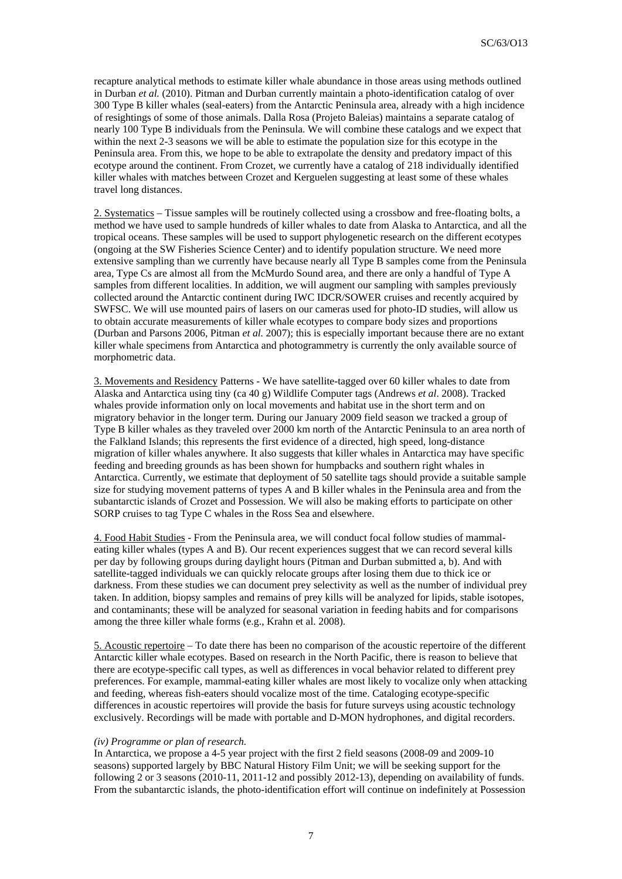recapture analytical methods to estimate killer whale abundance in those areas using methods outlined in Durban *et al.* (2010). Pitman and Durban currently maintain a photo-identification catalog of over 300 Type B killer whales (seal-eaters) from the Antarctic Peninsula area, already with a high incidence of resightings of some of those animals. Dalla Rosa (Projeto Baleias) maintains a separate catalog of nearly 100 Type B individuals from the Peninsula. We will combine these catalogs and we expect that within the next 2-3 seasons we will be able to estimate the population size for this ecotype in the Peninsula area. From this, we hope to be able to extrapolate the density and predatory impact of this ecotype around the continent. From Crozet, we currently have a catalog of 218 individually identified killer whales with matches between Crozet and Kerguelen suggesting at least some of these whales travel long distances.

2. Systematics – Tissue samples will be routinely collected using a crossbow and free-floating bolts, a method we have used to sample hundreds of killer whales to date from Alaska to Antarctica, and all the tropical oceans. These samples will be used to support phylogenetic research on the different ecotypes (ongoing at the SW Fisheries Science Center) and to identify population structure. We need more extensive sampling than we currently have because nearly all Type B samples come from the Peninsula area, Type Cs are almost all from the McMurdo Sound area, and there are only a handful of Type A samples from different localities. In addition, we will augment our sampling with samples previously collected around the Antarctic continent during IWC IDCR/SOWER cruises and recently acquired by SWFSC. We will use mounted pairs of lasers on our cameras used for photo-ID studies, will allow us to obtain accurate measurements of killer whale ecotypes to compare body sizes and proportions (Durban and Parsons 2006, Pitman *et al.* 2007); this is especially important because there are no extant killer whale specimens from Antarctica and photogrammetry is currently the only available source of morphometric data.

3. Movements and Residency Patterns - We have satellite-tagged over 60 killer whales to date from Alaska and Antarctica using tiny (ca 40 g) Wildlife Computer tags (Andrews *et al*. 2008). Tracked whales provide information only on local movements and habitat use in the short term and on migratory behavior in the longer term. During our January 2009 field season we tracked a group of Type B killer whales as they traveled over 2000 km north of the Antarctic Peninsula to an area north of the Falkland Islands; this represents the first evidence of a directed, high speed, long-distance migration of killer whales anywhere. It also suggests that killer whales in Antarctica may have specific feeding and breeding grounds as has been shown for humpbacks and southern right whales in Antarctica. Currently, we estimate that deployment of 50 satellite tags should provide a suitable sample size for studying movement patterns of types A and B killer whales in the Peninsula area and from the subantarctic islands of Crozet and Possession. We will also be making efforts to participate on other SORP cruises to tag Type C whales in the Ross Sea and elsewhere.

4. Food Habit Studies - From the Peninsula area, we will conduct focal follow studies of mammaleating killer whales (types A and B). Our recent experiences suggest that we can record several kills per day by following groups during daylight hours (Pitman and Durban submitted a, b). And with satellite-tagged individuals we can quickly relocate groups after losing them due to thick ice or darkness. From these studies we can document prey selectivity as well as the number of individual prey taken. In addition, biopsy samples and remains of prey kills will be analyzed for lipids, stable isotopes, and contaminants; these will be analyzed for seasonal variation in feeding habits and for comparisons among the three killer whale forms (e.g., Krahn et al. 2008).

5. Acoustic repertoire – To date there has been no comparison of the acoustic repertoire of the different Antarctic killer whale ecotypes. Based on research in the North Pacific, there is reason to believe that there are ecotype-specific call types, as well as differences in vocal behavior related to different prey preferences. For example, mammal-eating killer whales are most likely to vocalize only when attacking and feeding, whereas fish-eaters should vocalize most of the time. Cataloging ecotype-specific differences in acoustic repertoires will provide the basis for future surveys using acoustic technology exclusively. Recordings will be made with portable and D-MON hydrophones, and digital recorders.

#### *(iv) Programme or plan of research.*

In Antarctica, we propose a 4-5 year project with the first 2 field seasons (2008-09 and 2009-10 seasons) supported largely by BBC Natural History Film Unit; we will be seeking support for the following 2 or 3 seasons (2010-11, 2011-12 and possibly 2012-13), depending on availability of funds. From the subantarctic islands, the photo-identification effort will continue on indefinitely at Possession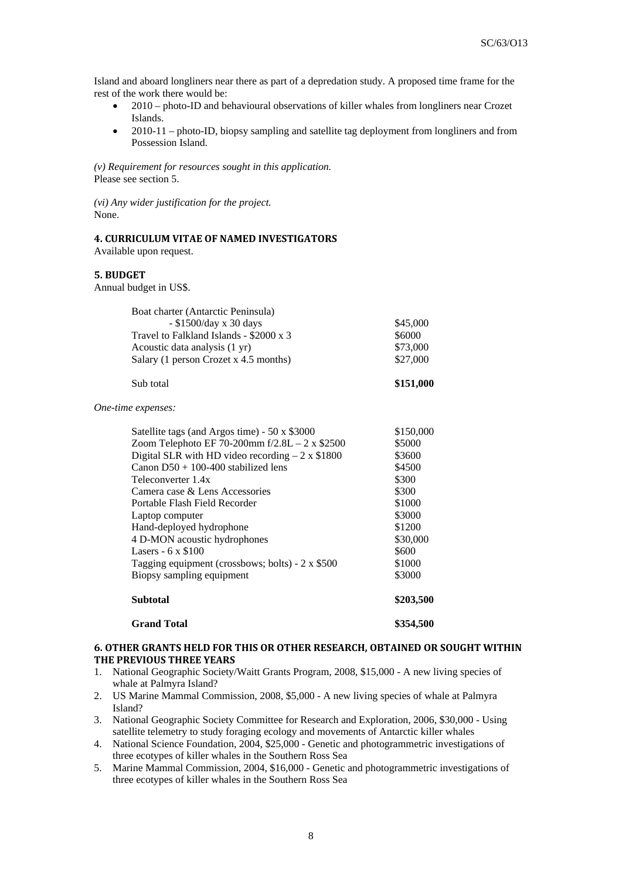Island and aboard longliners near there as part of a depredation study. A proposed time frame for the rest of the work there would be:

- 2010 photo-ID and behavioural observations of killer whales from longliners near Crozet Islands.
- 2010-11 photo-ID, biopsy sampling and satellite tag deployment from longliners and from Possession Island.

*(v) Requirement for resources sought in this application.*  Please see section 5.

*(vi) Any wider justification for the project.*  None.

## **4. CURRICULUM VITAE OF NAMED INVESTIGATORS** Available upon request.

# **5. BUDGET**

Annual budget in US\$.

| Boat charter (Antarctic Peninsula)      |          |
|-----------------------------------------|----------|
| $-$ \$1500/day x 30 days                | \$45,000 |
| Travel to Falkland Islands - \$2000 x 3 | \$6000   |
| Acoustic data analysis (1 yr)           | \$73,000 |
| Salary (1 person Crozet x 4.5 months)   | \$27,000 |

# Sub total **\$151,000**

*One-time expenses:* 

| Satellite tags (and Argos time) - 50 x \$3000          | \$150,000 |
|--------------------------------------------------------|-----------|
| Zoom Telephoto EF 70-200mm $f/2.8L - 2 \times $2500$   | \$5000    |
| Digital SLR with HD video recording $-2 \times $1800$  | \$3600    |
| Canon $D50 + 100-400$ stabilized lens                  | \$4500    |
| Teleconverter 1.4x                                     | \$300     |
| Camera case & Lens Accessories                         | \$300     |
| Portable Flash Field Recorder                          | \$1000    |
| Laptop computer                                        | \$3000    |
| Hand-deployed hydrophone                               | \$1200    |
| 4 D-MON acoustic hydrophones                           | \$30,000  |
| Lasers - $6 \times $100$                               | \$600     |
| Tagging equipment (crossbows; bolts) - $2 \times $500$ | \$1000    |
| Biopsy sampling equipment                              | \$3000    |
| <b>Subtotal</b>                                        | \$203,500 |
| <b>Grand Total</b>                                     | \$354,500 |

## **6. OTHER GRANTS HELD FOR THIS OR OTHER RESEARCH, OBTAINED OR SOUGHT WITHIN THE PREVIOUS THREE YEARS**

- 1. National Geographic Society/Waitt Grants Program, 2008, \$15,000 A new living species of whale at Palmyra Island?
- 2. US Marine Mammal Commission, 2008, \$5,000 A new living species of whale at Palmyra Island?
- 3. National Geographic Society Committee for Research and Exploration, 2006, \$30,000 Using satellite telemetry to study foraging ecology and movements of Antarctic killer whales
- 4. National Science Foundation, 2004, \$25,000 Genetic and photogrammetric investigations of three ecotypes of killer whales in the Southern Ross Sea
- 5. Marine Mammal Commission, 2004, \$16,000 Genetic and photogrammetric investigations of three ecotypes of killer whales in the Southern Ross Sea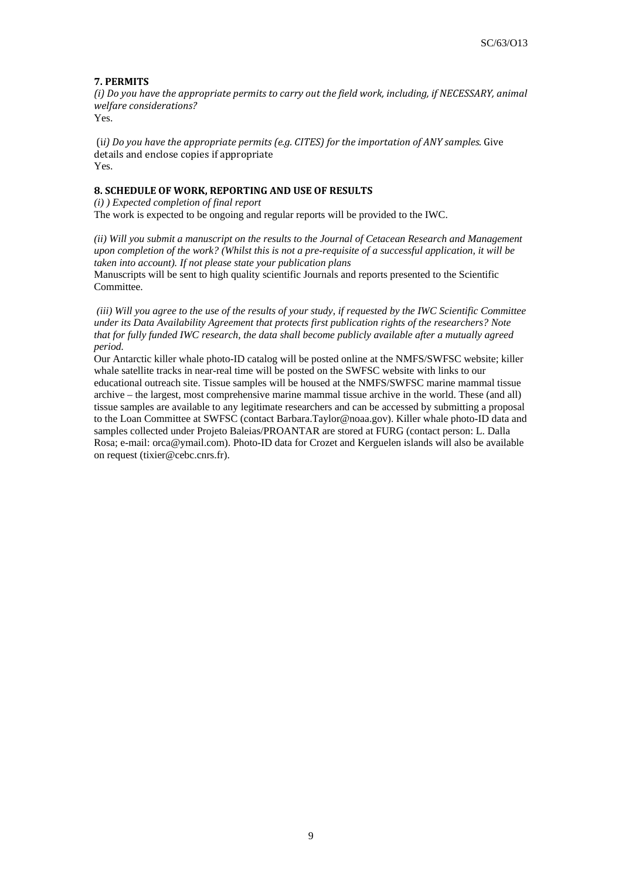# **7. PERMITS**

*(i) Do you have the appropriate permits to carry out the field work, including, if NECESSARY, animal welfare considerations?* Yes.

 (i*i) Do you have the appropriate permits (e.g. CITES) for the importation of ANY samples*. Give details and enclose copies if appropriate Yes.

# **8. SCHEDULE OF WORK, REPORTING AND USE OF RESULTS**

*(i) ) Expected completion of final report* The work is expected to be ongoing and regular reports will be provided to the IWC.

*(ii) Will you submit a manuscript on the results to the Journal of Cetacean Research and Management upon completion of the work? (Whilst this is not a pre-requisite of a successful application, it will be taken into account). If not please state your publication plans* 

Manuscripts will be sent to high quality scientific Journals and reports presented to the Scientific Committee.

 *(iii) Will you agree to the use of the results of your study, if requested by the IWC Scientific Committee under its Data Availability Agreement that protects first publication rights of the researchers? Note that for fully funded IWC research, the data shall become publicly available after a mutually agreed period.*

Our Antarctic killer whale photo-ID catalog will be posted online at the NMFS/SWFSC website; killer whale satellite tracks in near-real time will be posted on the SWFSC website with links to our educational outreach site. Tissue samples will be housed at the NMFS/SWFSC marine mammal tissue archive – the largest, most comprehensive marine mammal tissue archive in the world. These (and all) tissue samples are available to any legitimate researchers and can be accessed by submitting a proposal to the Loan Committee at SWFSC (contact Barbara.Taylor@noaa.gov). Killer whale photo-ID data and samples collected under Projeto Baleias/PROANTAR are stored at FURG (contact person: L. Dalla Rosa; e-mail: orca@ymail.com). Photo-ID data for Crozet and Kerguelen islands will also be available on request (tixier@cebc.cnrs.fr).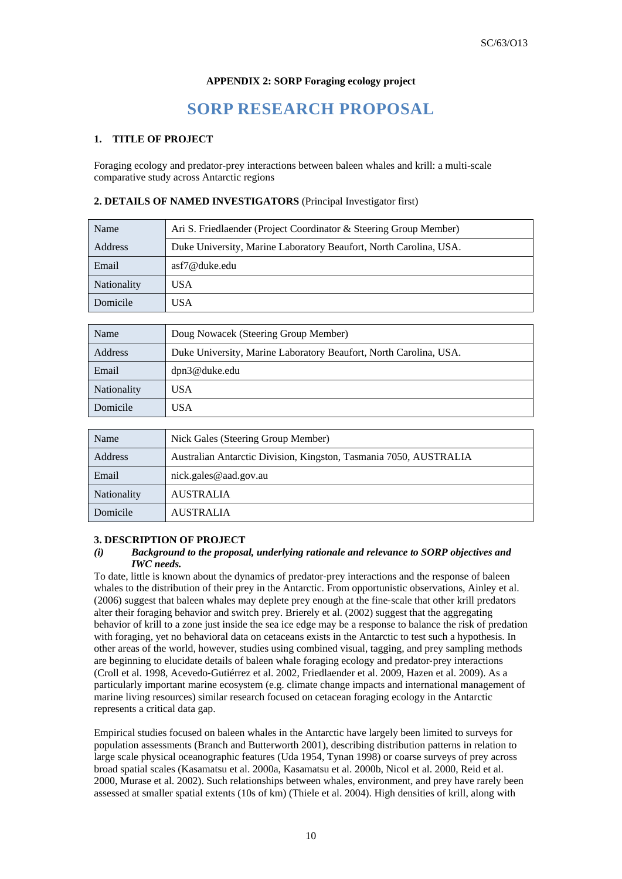## **APPENDIX 2: SORP Foraging ecology project**

# **SORP RESEARCH PROPOSAL**

## **1. TITLE OF PROJECT**

Foraging ecology and predator-prey interactions between baleen whales and krill: a multi-scale comparative study across Antarctic regions

## **2. DETAILS OF NAMED INVESTIGATORS** (Principal Investigator first)

| Name               | Ari S. Friedlaender (Project Coordinator & Steering Group Member) |  |
|--------------------|-------------------------------------------------------------------|--|
| Address            | Duke University, Marine Laboratory Beaufort, North Carolina, USA. |  |
| Email              | asf7@duke.edu                                                     |  |
| <b>Nationality</b> | USA                                                               |  |
| Domicile           | USA                                                               |  |

| Name               | Doug Nowacek (Steering Group Member)                              |  |
|--------------------|-------------------------------------------------------------------|--|
| Address            | Duke University, Marine Laboratory Beaufort, North Carolina, USA. |  |
| Email              | dpn3@duke.edu                                                     |  |
| <b>Nationality</b> | USA                                                               |  |
| Domicile           | USA                                                               |  |

| Name               | Nick Gales (Steering Group Member)                                |  |
|--------------------|-------------------------------------------------------------------|--|
| Address            | Australian Antarctic Division, Kingston, Tasmania 7050, AUSTRALIA |  |
| Email              | nick.gales@aad.gov.au                                             |  |
| <b>Nationality</b> | <b>AUSTRALIA</b>                                                  |  |
| Domicile           | <b>AUSTRALIA</b>                                                  |  |

## **3. DESCRIPTION OF PROJECT**

## *(i) Background to the proposal, underlying rationale and relevance to SORP objectives and IWC needs.*

To date, little is known about the dynamics of predator‐prey interactions and the response of baleen whales to the distribution of their prey in the Antarctic. From opportunistic observations, Ainley et al. (2006) suggest that baleen whales may deplete prey enough at the fine‐scale that other krill predators alter their foraging behavior and switch prey. Brierely et al. (2002) suggest that the aggregating behavior of krill to a zone just inside the sea ice edge may be a response to balance the risk of predation with foraging, yet no behavioral data on cetaceans exists in the Antarctic to test such a hypothesis. In other areas of the world, however, studies using combined visual, tagging, and prey sampling methods are beginning to elucidate details of baleen whale foraging ecology and predator‐prey interactions (Croll et al. 1998, Acevedo‐Gutiérrez et al. 2002, Friedlaender et al. 2009, Hazen et al. 2009). As a particularly important marine ecosystem (e.g. climate change impacts and international management of marine living resources) similar research focused on cetacean foraging ecology in the Antarctic represents a critical data gap.

Empirical studies focused on baleen whales in the Antarctic have largely been limited to surveys for population assessments (Branch and Butterworth 2001), describing distribution patterns in relation to large scale physical oceanographic features (Uda 1954, Tynan 1998) or coarse surveys of prey across broad spatial scales (Kasamatsu et al. 2000a, Kasamatsu et al. 2000b, Nicol et al. 2000, Reid et al. 2000, Murase et al. 2002). Such relationships between whales, environment, and prey have rarely been assessed at smaller spatial extents (10s of km) (Thiele et al. 2004). High densities of krill, along with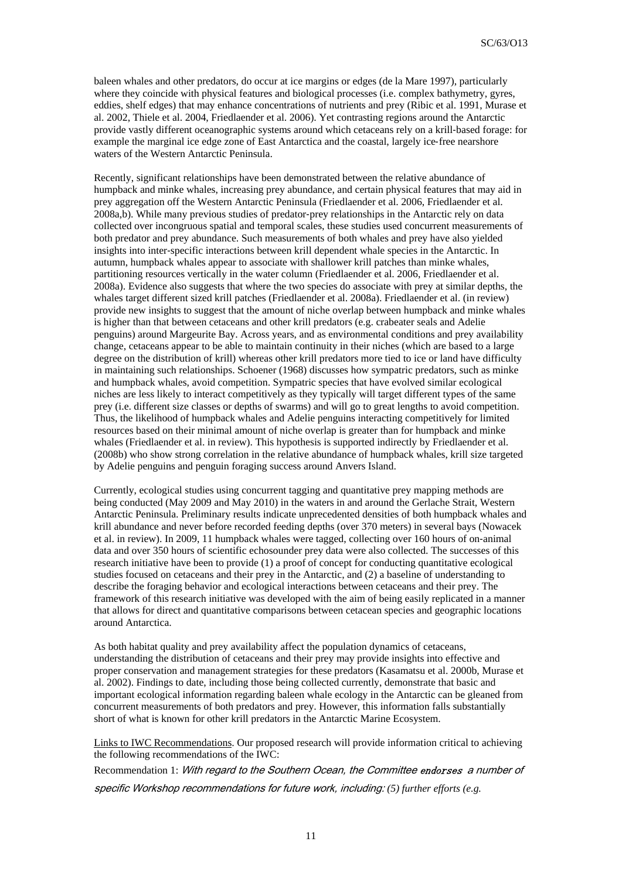baleen whales and other predators, do occur at ice margins or edges (de la Mare 1997), particularly where they coincide with physical features and biological processes (i.e. complex bathymetry, gyres, eddies, shelf edges) that may enhance concentrations of nutrients and prey (Ribic et al. 1991, Murase et al. 2002, Thiele et al. 2004, Friedlaender et al. 2006). Yet contrasting regions around the Antarctic provide vastly different oceanographic systems around which cetaceans rely on a krill-based forage: for example the marginal ice edge zone of East Antarctica and the coastal, largely ice-free nearshore waters of the Western Antarctic Peninsula.

Recently, significant relationships have been demonstrated between the relative abundance of humpback and minke whales, increasing prey abundance, and certain physical features that may aid in prey aggregation off the Western Antarctic Peninsula (Friedlaender et al. 2006, Friedlaender et al. 2008a,b). While many previous studies of predator‐prey relationships in the Antarctic rely on data collected over incongruous spatial and temporal scales, these studies used concurrent measurements of both predator and prey abundance. Such measurements of both whales and prey have also yielded insights into inter-specific interactions between krill dependent whale species in the Antarctic. In autumn, humpback whales appear to associate with shallower krill patches than minke whales, partitioning resources vertically in the water column (Friedlaender et al. 2006, Friedlaender et al. 2008a). Evidence also suggests that where the two species do associate with prey at similar depths, the whales target different sized krill patches (Friedlaender et al. 2008a). Friedlaender et al. (in review) provide new insights to suggest that the amount of niche overlap between humpback and minke whales is higher than that between cetaceans and other krill predators (e.g. crabeater seals and Adelie penguins) around Margeurite Bay. Across years, and as environmental conditions and prey availability change, cetaceans appear to be able to maintain continuity in their niches (which are based to a large degree on the distribution of krill) whereas other krill predators more tied to ice or land have difficulty in maintaining such relationships. Schoener (1968) discusses how sympatric predators, such as minke and humpback whales, avoid competition. Sympatric species that have evolved similar ecological niches are less likely to interact competitively as they typically will target different types of the same prey (i.e. different size classes or depths of swarms) and will go to great lengths to avoid competition. Thus, the likelihood of humpback whales and Adelie penguins interacting competitively for limited resources based on their minimal amount of niche overlap is greater than for humpback and minke whales (Friedlaender et al. in review). This hypothesis is supported indirectly by Friedlaender et al. (2008b) who show strong correlation in the relative abundance of humpback whales, krill size targeted by Adelie penguins and penguin foraging success around Anvers Island.

Currently, ecological studies using concurrent tagging and quantitative prey mapping methods are being conducted (May 2009 and May 2010) in the waters in and around the Gerlache Strait, Western Antarctic Peninsula. Preliminary results indicate unprecedented densities of both humpback whales and krill abundance and never before recorded feeding depths (over 370 meters) in several bays (Nowacek et al. in review). In 2009, 11 humpback whales were tagged, collecting over 160 hours of on‐animal data and over 350 hours of scientific echosounder prey data were also collected. The successes of this research initiative have been to provide (1) a proof of concept for conducting quantitative ecological studies focused on cetaceans and their prey in the Antarctic, and (2) a baseline of understanding to describe the foraging behavior and ecological interactions between cetaceans and their prey. The framework of this research initiative was developed with the aim of being easily replicated in a manner that allows for direct and quantitative comparisons between cetacean species and geographic locations around Antarctica.

As both habitat quality and prey availability affect the population dynamics of cetaceans, understanding the distribution of cetaceans and their prey may provide insights into effective and proper conservation and management strategies for these predators (Kasamatsu et al. 2000b, Murase et al. 2002). Findings to date, including those being collected currently, demonstrate that basic and important ecological information regarding baleen whale ecology in the Antarctic can be gleaned from concurrent measurements of both predators and prey. However, this information falls substantially short of what is known for other krill predators in the Antarctic Marine Ecosystem.

Links to IWC Recommendations. Our proposed research will provide information critical to achieving the following recommendations of the IWC:

Recommendation 1: With regard to the Southern Ocean, the Committee endorses a number of specific Workshop recommendations for future work, including: *(5) further efforts (e.g.*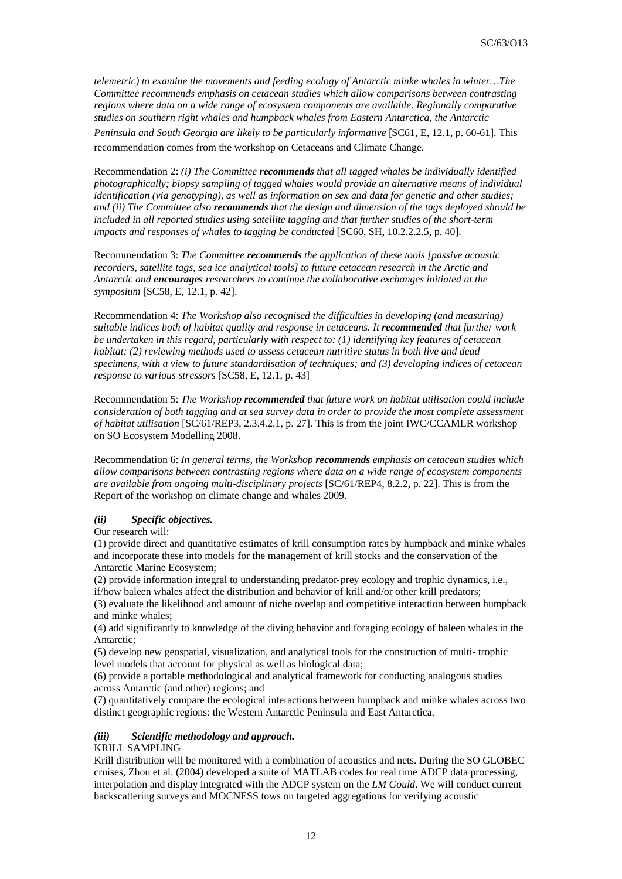*telemetric) to examine the movements and feeding ecology of Antarctic minke whales in winter…The Committee recommends emphasis on cetacean studies which allow comparisons between contrasting regions where data on a wide range of ecosystem components are available. Regionally comparative studies on southern right whales and humpback whales from Eastern Antarctica, the Antarctic* 

*Peninsula and South Georgia are likely to be particularly informative* [SC61, E, 12.1, p. 60-61]. This recommendation comes from the workshop on Cetaceans and Climate Change.

Recommendation 2: *(i) The Committee recommends that all tagged whales be individually identified photographically; biopsy sampling of tagged whales would provide an alternative means of individual identification (via genotyping), as well as information on sex and data for genetic and other studies; and (ii) The Committee also recommends that the design and dimension of the tags deployed should be included in all reported studies using satellite tagging and that further studies of the short-term impacts and responses of whales to tagging be conducted [SC60, SH, 10.2.2.2.5, p. 40].* 

Recommendation 3: *The Committee recommends the application of these tools [passive acoustic recorders, satellite tags, sea ice analytical tools] to future cetacean research in the Arctic and Antarctic and encourages researchers to continue the collaborative exchanges initiated at the symposium* [SC58, E, 12.1, p. 42].

Recommendation 4: *The Workshop also recognised the difficulties in developing (and measuring) suitable indices both of habitat quality and response in cetaceans. It recommended that further work be undertaken in this regard, particularly with respect to: (1) identifying key features of cetacean habitat; (2) reviewing methods used to assess cetacean nutritive status in both live and dead specimens, with a view to future standardisation of techniques; and (3) developing indices of cetacean response to various stressors* [SC58, E, 12.1, p. 43]

Recommendation 5: *The Workshop recommended that future work on habitat utilisation could include consideration of both tagging and at sea survey data in order to provide the most complete assessment of habitat utilisation* [SC/61/REP3, 2.3.4.2.1, p. 27]. This is from the joint IWC/CCAMLR workshop on SO Ecosystem Modelling 2008.

Recommendation 6: *In general terms, the Workshop recommends emphasis on cetacean studies which allow comparisons between contrasting regions where data on a wide range of ecosystem components are available from ongoing multi-disciplinary projects* [SC/61/REP4, 8.2.2, p. 22]. This is from the Report of the workshop on climate change and whales 2009.

## *(ii) Specific objectives.*

Our research will:

(1) provide direct and quantitative estimates of krill consumption rates by humpback and minke whales and incorporate these into models for the management of krill stocks and the conservation of the Antarctic Marine Ecosystem;

(2) provide information integral to understanding predator‐prey ecology and trophic dynamics, i.e., if/how baleen whales affect the distribution and behavior of krill and/or other krill predators;

(3) evaluate the likelihood and amount of niche overlap and competitive interaction between humpback and minke whales;

(4) add significantly to knowledge of the diving behavior and foraging ecology of baleen whales in the Antarctic;

(5) develop new geospatial, visualization, and analytical tools for the construction of multi‐ trophic level models that account for physical as well as biological data;

(6) provide a portable methodological and analytical framework for conducting analogous studies across Antarctic (and other) regions; and

(7) quantitatively compare the ecological interactions between humpback and minke whales across two distinct geographic regions: the Western Antarctic Peninsula and East Antarctica.

## *(iii) Scientific methodology and approach.*

# KRILL SAMPLING

Krill distribution will be monitored with a combination of acoustics and nets. During the SO GLOBEC cruises, Zhou et al. (2004) developed a suite of MATLAB codes for real time ADCP data processing, interpolation and display integrated with the ADCP system on the *LM Gould*. We will conduct current backscattering surveys and MOCNESS tows on targeted aggregations for verifying acoustic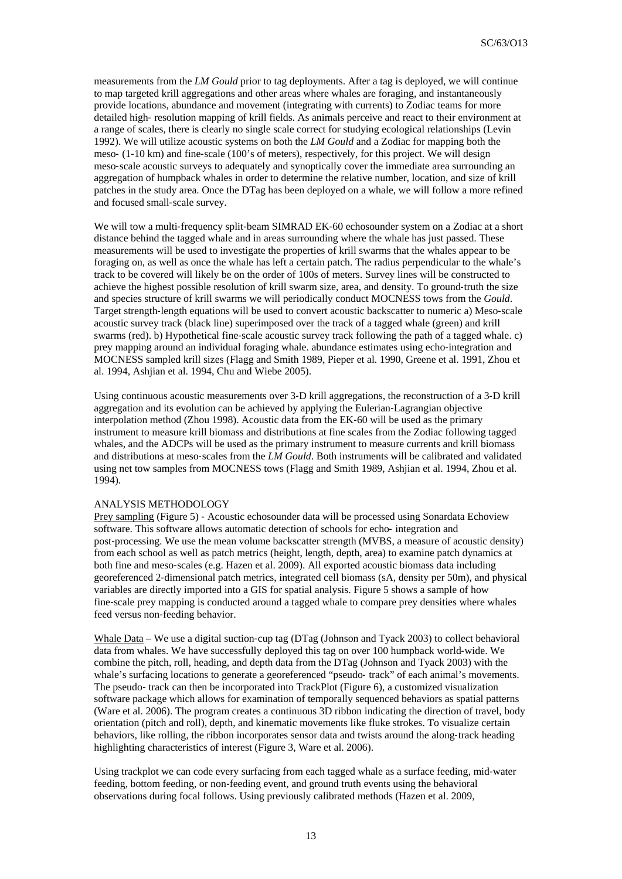measurements from the *LM Gould* prior to tag deployments. After a tag is deployed, we will continue to map targeted krill aggregations and other areas where whales are foraging, and instantaneously provide locations, abundance and movement (integrating with currents) to Zodiac teams for more detailed high‐ resolution mapping of krill fields. As animals perceive and react to their environment at a range of scales, there is clearly no single scale correct for studying ecological relationships (Levin 1992). We will utilize acoustic systems on both the *LM Gould* and a Zodiac for mapping both the meso- (1-10 km) and fine-scale (100's of meters), respectively, for this project. We will design meso-scale acoustic surveys to adequately and synoptically cover the immediate area surrounding an aggregation of humpback whales in order to determine the relative number, location, and size of krill patches in the study area. Once the DTag has been deployed on a whale, we will follow a more refined and focused small‐scale survey.

We will tow a multi-frequency split-beam SIMRAD EK-60 echosounder system on a Zodiac at a short distance behind the tagged whale and in areas surrounding where the whale has just passed. These measurements will be used to investigate the properties of krill swarms that the whales appear to be foraging on, as well as once the whale has left a certain patch. The radius perpendicular to the whale's track to be covered will likely be on the order of 100s of meters. Survey lines will be constructed to achieve the highest possible resolution of krill swarm size, area, and density. To ground‐truth the size and species structure of krill swarms we will periodically conduct MOCNESS tows from the *Gould*. Target strength-length equations will be used to convert acoustic backscatter to numeric a) Meso-scale acoustic survey track (black line) superimposed over the track of a tagged whale (green) and krill swarms (red). b) Hypothetical fine-scale acoustic survey track following the path of a tagged whale. c) prey mapping around an individual foraging whale. abundance estimates using echo-integration and MOCNESS sampled krill sizes (Flagg and Smith 1989, Pieper et al. 1990, Greene et al. 1991, Zhou et al. 1994, Ashjian et al. 1994, Chu and Wiebe 2005).

Using continuous acoustic measurements over 3‐D krill aggregations, the reconstruction of a 3‐D krill aggregation and its evolution can be achieved by applying the Eulerian‐Lagrangian objective interpolation method (Zhou 1998). Acoustic data from the EK‐60 will be used as the primary instrument to measure krill biomass and distributions at fine scales from the Zodiac following tagged whales, and the ADCPs will be used as the primary instrument to measure currents and krill biomass and distributions at meso‐scales from the *LM Gould*. Both instruments will be calibrated and validated using net tow samples from MOCNESS tows (Flagg and Smith 1989, Ashjian et al. 1994, Zhou et al. 1994).

### ANALYSIS METHODOLOGY

Prey sampling (Figure 5) ‐ Acoustic echosounder data will be processed using Sonardata Echoview software. This software allows automatic detection of schools for echo- integration and post-processing. We use the mean volume backscatter strength (MVBS, a measure of acoustic density) from each school as well as patch metrics (height, length, depth, area) to examine patch dynamics at both fine and meso‐scales (e.g. Hazen et al. 2009). All exported acoustic biomass data including georeferenced 2‐dimensional patch metrics, integrated cell biomass (sA, density per 50m), and physical variables are directly imported into a GIS for spatial analysis. Figure 5 shows a sample of how fine‐scale prey mapping is conducted around a tagged whale to compare prey densities where whales feed versus non‐feeding behavior.

Whale Data – We use a digital suction-cup tag (DTag (Johnson and Tyack 2003) to collect behavioral data from whales. We have successfully deployed this tag on over 100 humpback world‐wide. We combine the pitch, roll, heading, and depth data from the DTag (Johnson and Tyack 2003) with the whale's surfacing locations to generate a georeferenced "pseudo‐ track" of each animal's movements. The pseudo‐ track can then be incorporated into TrackPlot (Figure 6), a customized visualization software package which allows for examination of temporally sequenced behaviors as spatial patterns (Ware et al. 2006). The program creates a continuous 3D ribbon indicating the direction of travel, body orientation (pitch and roll), depth, and kinematic movements like fluke strokes. To visualize certain behaviors, like rolling, the ribbon incorporates sensor data and twists around the along-track heading highlighting characteristics of interest (Figure 3, Ware et al. 2006).

Using trackplot we can code every surfacing from each tagged whale as a surface feeding, mid‐water feeding, bottom feeding, or non-feeding event, and ground truth events using the behavioral observations during focal follows. Using previously calibrated methods (Hazen et al. 2009,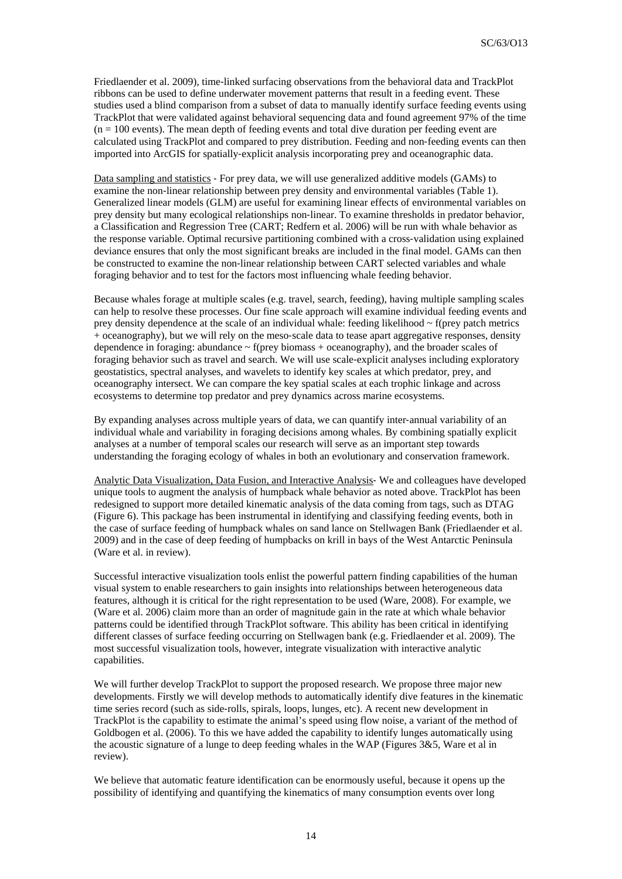Friedlaender et al. 2009), time‐linked surfacing observations from the behavioral data and TrackPlot ribbons can be used to define underwater movement patterns that result in a feeding event. These studies used a blind comparison from a subset of data to manually identify surface feeding events using TrackPlot that were validated against behavioral sequencing data and found agreement 97% of the time  $(n = 100$  events). The mean depth of feeding events and total dive duration per feeding event are calculated using TrackPlot and compared to prey distribution. Feeding and non‐feeding events can then imported into ArcGIS for spatially‐explicit analysis incorporating prey and oceanographic data.

Data sampling and statistics ‐ For prey data, we will use generalized additive models (GAMs) to examine the non-linear relationship between prey density and environmental variables (Table 1). Generalized linear models (GLM) are useful for examining linear effects of environmental variables on prey density but many ecological relationships non‐linear. To examine thresholds in predator behavior, a Classification and Regression Tree (CART; Redfern et al. 2006) will be run with whale behavior as the response variable. Optimal recursive partitioning combined with a cross-validation using explained deviance ensures that only the most significant breaks are included in the final model. GAMs can then be constructed to examine the non-linear relationship between CART selected variables and whale foraging behavior and to test for the factors most influencing whale feeding behavior.

Because whales forage at multiple scales (e.g. travel, search, feeding), having multiple sampling scales can help to resolve these processes. Our fine scale approach will examine individual feeding events and prey density dependence at the scale of an individual whale: feeding likelihood  $\sim$  f(prey patch metrics + oceanography), but we will rely on the meso‐scale data to tease apart aggregative responses, density dependence in foraging: abundance  $\sim$  f(prey biomass + oceanography), and the broader scales of foraging behavior such as travel and search. We will use scale‐explicit analyses including exploratory geostatistics, spectral analyses, and wavelets to identify key scales at which predator, prey, and oceanography intersect. We can compare the key spatial scales at each trophic linkage and across ecosystems to determine top predator and prey dynamics across marine ecosystems.

By expanding analyses across multiple years of data, we can quantify inter‐annual variability of an individual whale and variability in foraging decisions among whales. By combining spatially explicit analyses at a number of temporal scales our research will serve as an important step towards understanding the foraging ecology of whales in both an evolutionary and conservation framework.

Analytic Data Visualization, Data Fusion, and Interactive Analysis‐ We and colleagues have developed unique tools to augment the analysis of humpback whale behavior as noted above. TrackPlot has been redesigned to support more detailed kinematic analysis of the data coming from tags, such as DTAG (Figure 6). This package has been instrumental in identifying and classifying feeding events, both in the case of surface feeding of humpback whales on sand lance on Stellwagen Bank (Friedlaender et al. 2009) and in the case of deep feeding of humpbacks on krill in bays of the West Antarctic Peninsula (Ware et al. in review).

Successful interactive visualization tools enlist the powerful pattern finding capabilities of the human visual system to enable researchers to gain insights into relationships between heterogeneous data features, although it is critical for the right representation to be used (Ware, 2008). For example, we (Ware et al. 2006) claim more than an order of magnitude gain in the rate at which whale behavior patterns could be identified through TrackPlot software. This ability has been critical in identifying different classes of surface feeding occurring on Stellwagen bank (e.g. Friedlaender et al. 2009). The most successful visualization tools, however, integrate visualization with interactive analytic capabilities.

We will further develop TrackPlot to support the proposed research. We propose three major new developments. Firstly we will develop methods to automatically identify dive features in the kinematic time series record (such as side-rolls, spirals, loops, lunges, etc). A recent new development in TrackPlot is the capability to estimate the animal's speed using flow noise, a variant of the method of Goldbogen et al. (2006). To this we have added the capability to identify lunges automatically using the acoustic signature of a lunge to deep feeding whales in the WAP (Figures  $3&5$ , Ware et al in review).

We believe that automatic feature identification can be enormously useful, because it opens up the possibility of identifying and quantifying the kinematics of many consumption events over long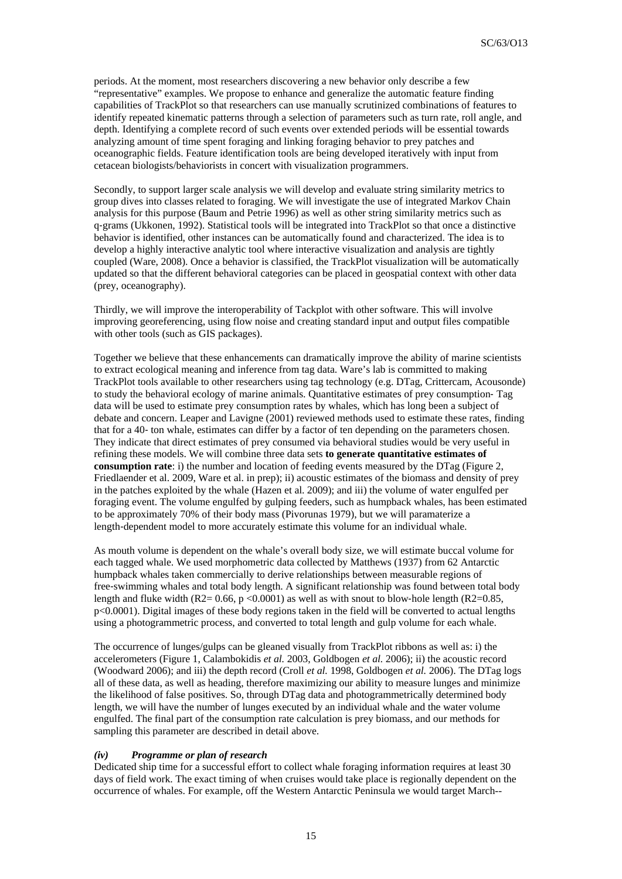periods. At the moment, most researchers discovering a new behavior only describe a few "representative" examples. We propose to enhance and generalize the automatic feature finding capabilities of TrackPlot so that researchers can use manually scrutinized combinations of features to identify repeated kinematic patterns through a selection of parameters such as turn rate, roll angle, and depth. Identifying a complete record of such events over extended periods will be essential towards analyzing amount of time spent foraging and linking foraging behavior to prey patches and oceanographic fields. Feature identification tools are being developed iteratively with input from cetacean biologists/behaviorists in concert with visualization programmers.

Secondly, to support larger scale analysis we will develop and evaluate string similarity metrics to group dives into classes related to foraging. We will investigate the use of integrated Markov Chain analysis for this purpose (Baum and Petrie 1996) as well as other string similarity metrics such as q‐grams (Ukkonen, 1992). Statistical tools will be integrated into TrackPlot so that once a distinctive behavior is identified, other instances can be automatically found and characterized. The idea is to develop a highly interactive analytic tool where interactive visualization and analysis are tightly coupled (Ware, 2008). Once a behavior is classified, the TrackPlot visualization will be automatically updated so that the different behavioral categories can be placed in geospatial context with other data (prey, oceanography).

Thirdly, we will improve the interoperability of Tackplot with other software. This will involve improving georeferencing, using flow noise and creating standard input and output files compatible with other tools (such as GIS packages).

Together we believe that these enhancements can dramatically improve the ability of marine scientists to extract ecological meaning and inference from tag data. Ware's lab is committed to making TrackPlot tools available to other researchers using tag technology (e.g. DTag, Crittercam, Acousonde) to study the behavioral ecology of marine animals. Quantitative estimates of prey consumption‐ Tag data will be used to estimate prey consumption rates by whales, which has long been a subject of debate and concern. Leaper and Lavigne (2001) reviewed methods used to estimate these rates, finding that for a 40‐ ton whale, estimates can differ by a factor of ten depending on the parameters chosen. They indicate that direct estimates of prey consumed via behavioral studies would be very useful in refining these models. We will combine three data sets **to generate quantitative estimates of consumption rate**: i) the number and location of feeding events measured by the DTag (Figure 2, Friedlaender et al. 2009, Ware et al. in prep); ii) acoustic estimates of the biomass and density of prey in the patches exploited by the whale (Hazen et al. 2009); and iii) the volume of water engulfed per foraging event. The volume engulfed by gulping feeders, such as humpback whales, has been estimated to be approximately 70% of their body mass (Pivorunas 1979), but we will paramaterize a length‐dependent model to more accurately estimate this volume for an individual whale.

As mouth volume is dependent on the whale's overall body size, we will estimate buccal volume for each tagged whale. We used morphometric data collected by Matthews (1937) from 62 Antarctic humpback whales taken commercially to derive relationships between measurable regions of free‐swimming whales and total body length. A significant relationship was found between total body length and fluke width (R2=  $0.66$ , p <0.0001) as well as with snout to blow-hole length (R2= $0.85$ , p<0.0001). Digital images of these body regions taken in the field will be converted to actual lengths using a photogrammetric process, and converted to total length and gulp volume for each whale.

The occurrence of lunges/gulps can be gleaned visually from TrackPlot ribbons as well as: i) the accelerometers (Figure 1, Calambokidis *et al.* 2003, Goldbogen *et al.* 2006); ii) the acoustic record (Woodward 2006); and iii) the depth record (Croll *et al.* 1998, Goldbogen *et al.* 2006). The DTag logs all of these data, as well as heading, therefore maximizing our ability to measure lunges and minimize the likelihood of false positives. So, through DTag data and photogrammetrically determined body length, we will have the number of lunges executed by an individual whale and the water volume engulfed. The final part of the consumption rate calculation is prey biomass, and our methods for sampling this parameter are described in detail above.

### *(iv) Programme or plan of research*

Dedicated ship time for a successful effort to collect whale foraging information requires at least 30 days of field work. The exact timing of when cruises would take place is regionally dependent on the occurrence of whales. For example, off the Western Antarctic Peninsula we would target March--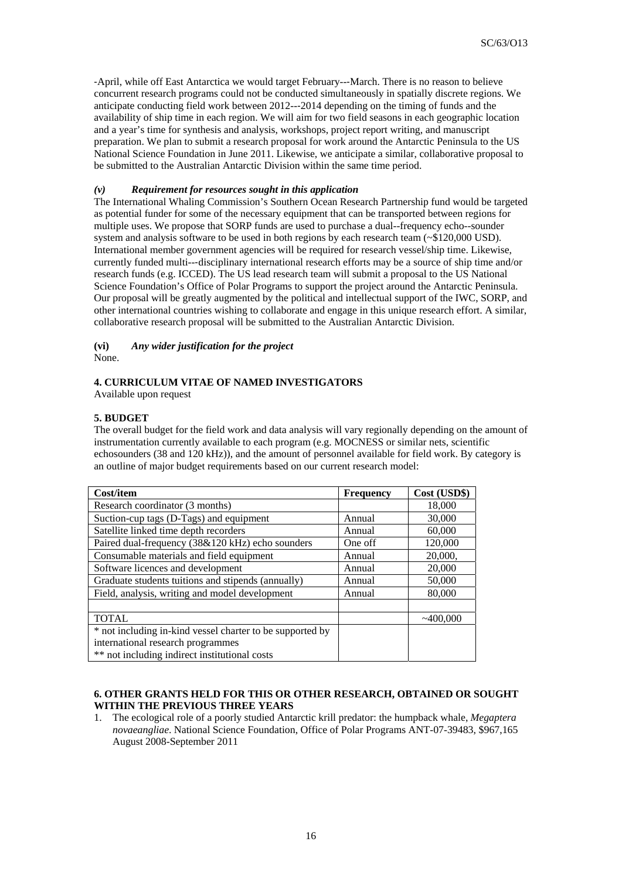‐April, while off East Antarctica we would target February--‐March. There is no reason to believe concurrent research programs could not be conducted simultaneously in spatially discrete regions. We anticipate conducting field work between 2012--‐2014 depending on the timing of funds and the availability of ship time in each region. We will aim for two field seasons in each geographic location and a year's time for synthesis and analysis, workshops, project report writing, and manuscript preparation. We plan to submit a research proposal for work around the Antarctic Peninsula to the US National Science Foundation in June 2011. Likewise, we anticipate a similar, collaborative proposal to be submitted to the Australian Antarctic Division within the same time period.

## *(v) Requirement for resources sought in this application*

The International Whaling Commission's Southern Ocean Research Partnership fund would be targeted as potential funder for some of the necessary equipment that can be transported between regions for multiple uses. We propose that SORP funds are used to purchase a dual--frequency echo--sounder system and analysis software to be used in both regions by each research team (~\$120,000 USD). International member government agencies will be required for research vessel/ship time. Likewise, currently funded multi--‐disciplinary international research efforts may be a source of ship time and/or research funds (e.g. ICCED). The US lead research team will submit a proposal to the US National Science Foundation's Office of Polar Programs to support the project around the Antarctic Peninsula. Our proposal will be greatly augmented by the political and intellectual support of the IWC, SORP, and other international countries wishing to collaborate and engage in this unique research effort. A similar, collaborative research proposal will be submitted to the Australian Antarctic Division.

# **(vi)** *Any wider justification for the project*

None.

## **4. CURRICULUM VITAE OF NAMED INVESTIGATORS**

Available upon request

# **5. BUDGET**

The overall budget for the field work and data analysis will vary regionally depending on the amount of instrumentation currently available to each program (e.g. MOCNESS or similar nets, scientific echosounders (38 and 120 kHz)), and the amount of personnel available for field work. By category is an outline of major budget requirements based on our current research model:

| Cost/item                                                 | <b>Frequency</b> | Cost (USD\$) |
|-----------------------------------------------------------|------------------|--------------|
| Research coordinator (3 months)                           |                  | 18,000       |
| Suction-cup tags (D-Tags) and equipment                   | Annual           | 30,000       |
| Satellite linked time depth recorders                     | Annual           | 60,000       |
| Paired dual-frequency (38&120 kHz) echo sounders          | One off          | 120,000      |
| Consumable materials and field equipment                  | Annual           | 20,000,      |
| Software licences and development                         | Annual           | 20,000       |
| Graduate students tuitions and stipends (annually)        | Annual           | 50,000       |
| Field, analysis, writing and model development            | Annual           | 80,000       |
|                                                           |                  |              |
| <b>TOTAL</b>                                              |                  | ~100,000     |
| * not including in-kind vessel charter to be supported by |                  |              |
| international research programmes                         |                  |              |
| ** not including indirect institutional costs             |                  |              |

## **6. OTHER GRANTS HELD FOR THIS OR OTHER RESEARCH, OBTAINED OR SOUGHT WITHIN THE PREVIOUS THREE YEARS**

1. The ecological role of a poorly studied Antarctic krill predator: the humpback whale, *Megaptera novaeangliae*. National Science Foundation, Office of Polar Programs ANT-07-39483, \$967,165 August 2008-September 2011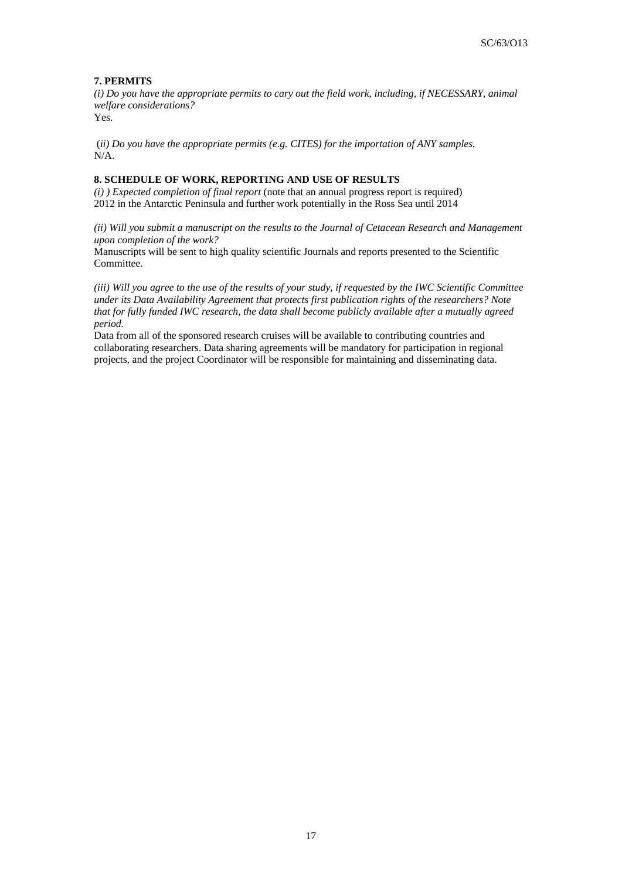# **7. PERMITS**

*(i) Do you have the appropriate permits to cary out the field work, including, if NECESSARY, animal welfare considerations?* Yes.

 (*ii) Do you have the appropriate permits (e.g. CITES) for the importation of ANY samples*. N/A.

# **8. SCHEDULE OF WORK, REPORTING AND USE OF RESULTS**

*(i) ) Expected completion of final report* (note that an annual progress report is required) 2012 in the Antarctic Peninsula and further work potentially in the Ross Sea until 2014

*(ii) Will you submit a manuscript on the results to the Journal of Cetacean Research and Management upon completion of the work?* 

Manuscripts will be sent to high quality scientific Journals and reports presented to the Scientific Committee.

*(iii) Will you agree to the use of the results of your study, if requested by the IWC Scientific Committee under its Data Availability Agreement that protects first publication rights of the researchers? Note that for fully funded IWC research, the data shall become publicly available after a mutually agreed period.*

Data from all of the sponsored research cruises will be available to contributing countries and collaborating researchers. Data sharing agreements will be mandatory for participation in regional projects, and the project Coordinator will be responsible for maintaining and disseminating data.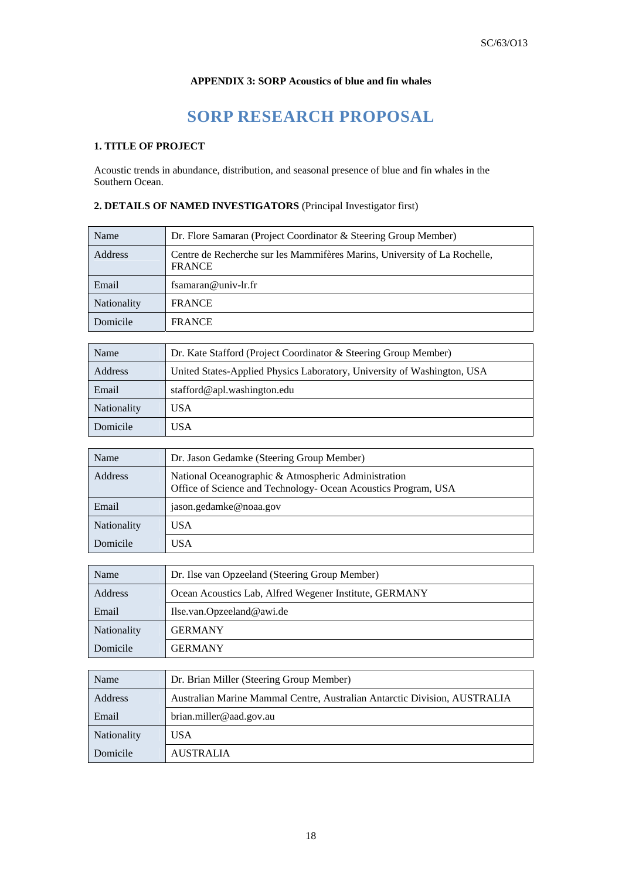# **APPENDIX 3: SORP Acoustics of blue and fin whales**

# **SORP RESEARCH PROPOSAL**

# **1. TITLE OF PROJECT**

Acoustic trends in abundance, distribution, and seasonal presence of blue and fin whales in the Southern Ocean.

# **2. DETAILS OF NAMED INVESTIGATORS** (Principal Investigator first)

| Name               | Dr. Flore Samaran (Project Coordinator & Steering Group Member)                            |
|--------------------|--------------------------------------------------------------------------------------------|
| Address            | Centre de Recherche sur les Mammifères Marins, University of La Rochelle,<br><b>FRANCE</b> |
| Email              | fsamaran@univ-lr.fr                                                                        |
| <b>Nationality</b> | <b>FRANCE</b>                                                                              |
| Domicile           | <b>FRANCE</b>                                                                              |

| Name               | Dr. Kate Stafford (Project Coordinator & Steering Group Member)         |  |
|--------------------|-------------------------------------------------------------------------|--|
| <b>Address</b>     | United States-Applied Physics Laboratory, University of Washington, USA |  |
| Email              | stafford@apl.washington.edu                                             |  |
| <b>Nationality</b> | USA                                                                     |  |
| Domicile           | USA                                                                     |  |

| Name               | Dr. Jason Gedamke (Steering Group Member)                                                                             |
|--------------------|-----------------------------------------------------------------------------------------------------------------------|
| Address            | National Oceanographic & Atmospheric Administration<br>Office of Science and Technology- Ocean Acoustics Program, USA |
| Email              | jason.gedamke@noaa.gov                                                                                                |
| <b>Nationality</b> | USA                                                                                                                   |
| Domicile           | USA                                                                                                                   |

| Name               | Dr. Ilse van Opzeeland (Steering Group Member)         |  |
|--------------------|--------------------------------------------------------|--|
| Address            | Ocean Acoustics Lab, Alfred Wegener Institute, GERMANY |  |
| Email              | Ilse.van.Opzeeland@awi.de                              |  |
| <b>Nationality</b> | <b>GERMANY</b>                                         |  |
| Domicile           | <b>GERMANY</b>                                         |  |

| Name               | Dr. Brian Miller (Steering Group Member)                                  |  |  |
|--------------------|---------------------------------------------------------------------------|--|--|
| Address            | Australian Marine Mammal Centre, Australian Antarctic Division, AUSTRALIA |  |  |
| Email              | brian.miller@aad.gov.au                                                   |  |  |
| <b>Nationality</b> | USA                                                                       |  |  |
| Domicile           | <b>AUSTRALIA</b>                                                          |  |  |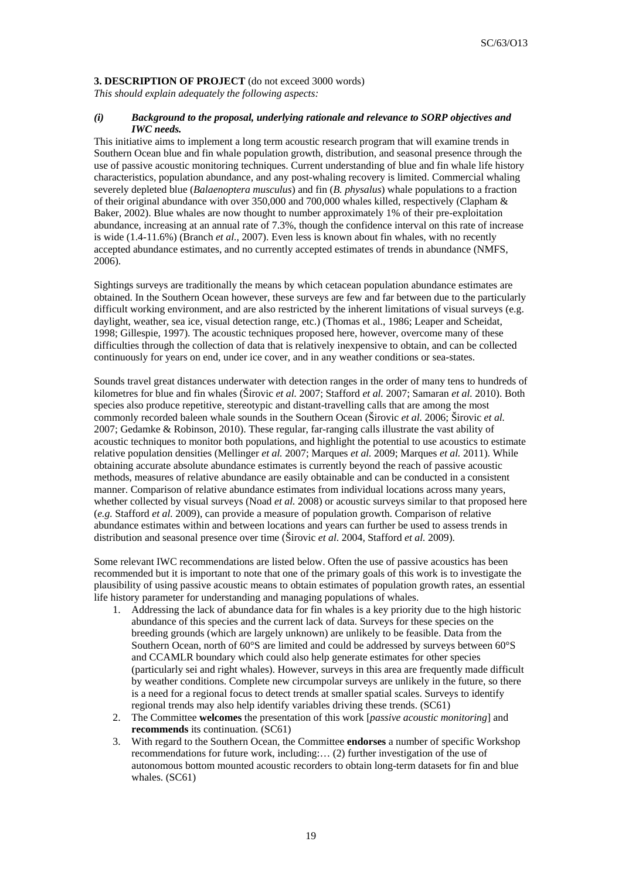## **3. DESCRIPTION OF PROJECT** (do not exceed 3000 words)

*This should explain adequately the following aspects:* 

## *(i) Background to the proposal, underlying rationale and relevance to SORP objectives and IWC needs.*

This initiative aims to implement a long term acoustic research program that will examine trends in Southern Ocean blue and fin whale population growth, distribution, and seasonal presence through the use of passive acoustic monitoring techniques. Current understanding of blue and fin whale life history characteristics, population abundance, and any post-whaling recovery is limited. Commercial whaling severely depleted blue (*Balaenoptera musculus*) and fin (*B. physalus*) whale populations to a fraction of their original abundance with over 350,000 and 700,000 whales killed, respectively (Clapham & Baker, 2002). Blue whales are now thought to number approximately 1% of their pre-exploitation abundance, increasing at an annual rate of 7.3%, though the confidence interval on this rate of increase is wide (1.4-11.6%) (Branch *et al.,* 2007). Even less is known about fin whales, with no recently accepted abundance estimates, and no currently accepted estimates of trends in abundance (NMFS, 2006).

Sightings surveys are traditionally the means by which cetacean population abundance estimates are obtained. In the Southern Ocean however, these surveys are few and far between due to the particularly difficult working environment, and are also restricted by the inherent limitations of visual surveys (e.g. daylight, weather, sea ice, visual detection range, etc.) (Thomas et al., 1986; Leaper and Scheidat, 1998; Gillespie, 1997). The acoustic techniques proposed here, however, overcome many of these difficulties through the collection of data that is relatively inexpensive to obtain, and can be collected continuously for years on end, under ice cover, and in any weather conditions or sea-states.

Sounds travel great distances underwater with detection ranges in the order of many tens to hundreds of kilometres for blue and fin whales (Širovic *et al.* 2007; Stafford *et al.* 2007; Samaran *et al.* 2010). Both species also produce repetitive, stereotypic and distant-travelling calls that are among the most commonly recorded baleen whale sounds in the Southern Ocean (Širovic *et al.* 2006; Širovic *et al.*  2007; Gedamke & Robinson, 2010). These regular, far-ranging calls illustrate the vast ability of acoustic techniques to monitor both populations, and highlight the potential to use acoustics to estimate relative population densities (Mellinger *et al.* 2007; Marques *et al.* 2009; Marques *et al.* 2011). While obtaining accurate absolute abundance estimates is currently beyond the reach of passive acoustic methods, measures of relative abundance are easily obtainable and can be conducted in a consistent manner. Comparison of relative abundance estimates from individual locations across many years, whether collected by visual surveys (Noad *et al.* 2008) or acoustic surveys similar to that proposed here (*e.g.* Stafford *et al.* 2009), can provide a measure of population growth. Comparison of relative abundance estimates within and between locations and years can further be used to assess trends in distribution and seasonal presence over time (Širovic *et al*. 2004, Stafford *et al.* 2009).

Some relevant IWC recommendations are listed below. Often the use of passive acoustics has been recommended but it is important to note that one of the primary goals of this work is to investigate the plausibility of using passive acoustic means to obtain estimates of population growth rates, an essential life history parameter for understanding and managing populations of whales.

- 1. Addressing the lack of abundance data for fin whales is a key priority due to the high historic abundance of this species and the current lack of data. Surveys for these species on the breeding grounds (which are largely unknown) are unlikely to be feasible. Data from the Southern Ocean, north of 60°S are limited and could be addressed by surveys between 60°S and CCAMLR boundary which could also help generate estimates for other species (particularly sei and right whales). However, surveys in this area are frequently made difficult by weather conditions. Complete new circumpolar surveys are unlikely in the future, so there is a need for a regional focus to detect trends at smaller spatial scales. Surveys to identify regional trends may also help identify variables driving these trends. (SC61)
- 2. The Committee **welcomes** the presentation of this work [*passive acoustic monitoring*] and **recommends** its continuation. (SC61)
- 3. With regard to the Southern Ocean, the Committee **endorses** a number of specific Workshop recommendations for future work, including:… (2) further investigation of the use of autonomous bottom mounted acoustic recorders to obtain long-term datasets for fin and blue whales. (SC61)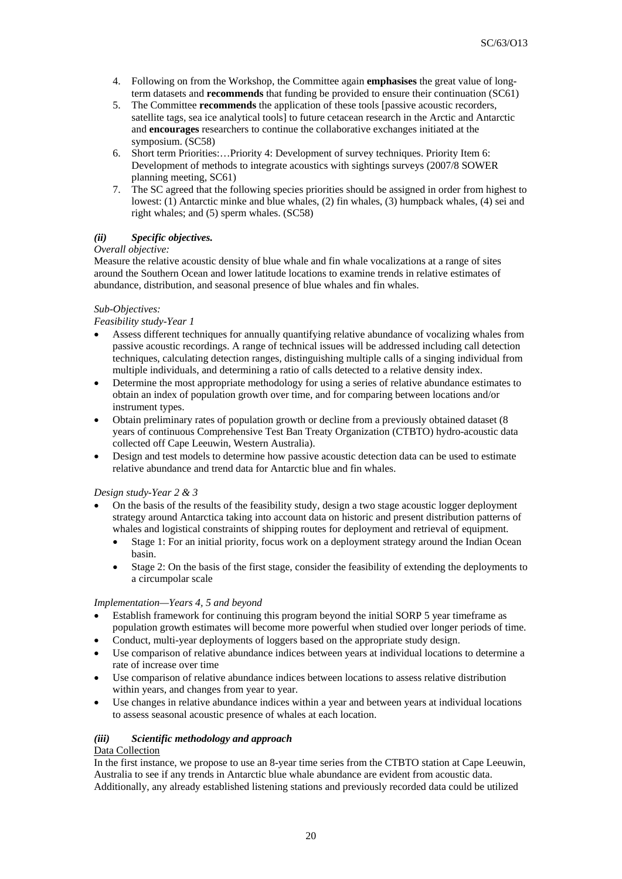- 4. Following on from the Workshop, the Committee again **emphasises** the great value of longterm datasets and **recommends** that funding be provided to ensure their continuation (SC61)
- 5. The Committee **recommends** the application of these tools [passive acoustic recorders, satellite tags, sea ice analytical tools] to future cetacean research in the Arctic and Antarctic and **encourages** researchers to continue the collaborative exchanges initiated at the symposium. (SC58)
- 6. Short term Priorities:…Priority 4: Development of survey techniques. Priority Item 6: Development of methods to integrate acoustics with sightings surveys (2007/8 SOWER planning meeting, SC61)
- 7. The SC agreed that the following species priorities should be assigned in order from highest to lowest: (1) Antarctic minke and blue whales, (2) fin whales, (3) humpback whales, (4) sei and right whales; and (5) sperm whales. (SC58)

# *(ii) Specific objectives.*

# *Overall objective:*

Measure the relative acoustic density of blue whale and fin whale vocalizations at a range of sites around the Southern Ocean and lower latitude locations to examine trends in relative estimates of abundance, distribution, and seasonal presence of blue whales and fin whales.

## *Sub-Objectives:*

## *Feasibility study-Year 1*

- Assess different techniques for annually quantifying relative abundance of vocalizing whales from passive acoustic recordings. A range of technical issues will be addressed including call detection techniques, calculating detection ranges, distinguishing multiple calls of a singing individual from multiple individuals, and determining a ratio of calls detected to a relative density index.
- Determine the most appropriate methodology for using a series of relative abundance estimates to obtain an index of population growth over time, and for comparing between locations and/or instrument types.
- Obtain preliminary rates of population growth or decline from a previously obtained dataset (8 years of continuous Comprehensive Test Ban Treaty Organization (CTBTO) hydro-acoustic data collected off Cape Leeuwin, Western Australia).
- Design and test models to determine how passive acoustic detection data can be used to estimate relative abundance and trend data for Antarctic blue and fin whales.

# *Design study-Year 2 & 3*

- On the basis of the results of the feasibility study, design a two stage acoustic logger deployment strategy around Antarctica taking into account data on historic and present distribution patterns of whales and logistical constraints of shipping routes for deployment and retrieval of equipment.
	- Stage 1: For an initial priority, focus work on a deployment strategy around the Indian Ocean basin.
	- Stage 2: On the basis of the first stage, consider the feasibility of extending the deployments to a circumpolar scale

## *Implementation—Years 4, 5 and beyond*

- Establish framework for continuing this program beyond the initial SORP 5 year timeframe as population growth estimates will become more powerful when studied over longer periods of time.
- Conduct, multi-year deployments of loggers based on the appropriate study design.
- Use comparison of relative abundance indices between years at individual locations to determine a rate of increase over time
- Use comparison of relative abundance indices between locations to assess relative distribution within years, and changes from year to year.
- Use changes in relative abundance indices within a year and between years at individual locations to assess seasonal acoustic presence of whales at each location.

# *(iii) Scientific methodology and approach*

## Data Collection

In the first instance, we propose to use an 8-year time series from the CTBTO station at Cape Leeuwin, Australia to see if any trends in Antarctic blue whale abundance are evident from acoustic data. Additionally, any already established listening stations and previously recorded data could be utilized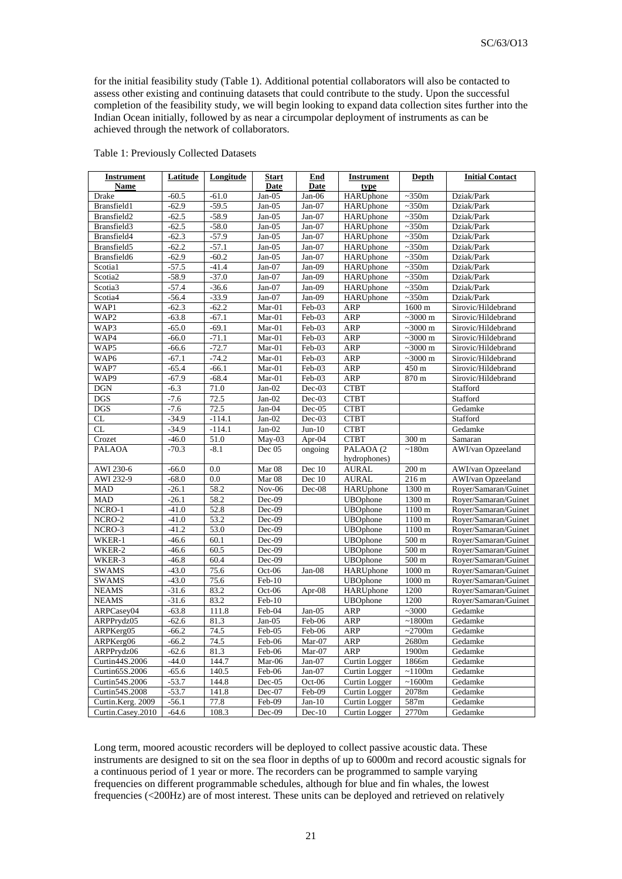for the initial feasibility study (Table 1). Additional potential collaborators will also be contacted to assess other existing and continuing datasets that could contribute to the study. Upon the successful completion of the feasibility study, we will begin looking to expand data collection sites further into the Indian Ocean initially, followed by as near a circumpolar deployment of instruments as can be achieved through the network of collaborators.

| <b>Instrument</b> | <b>Latitude</b> | Longitude | <b>Start</b>                | End                  | <b>Instrument</b> | <b>Depth</b>      | <b>Initial Contact</b> |
|-------------------|-----------------|-----------|-----------------------------|----------------------|-------------------|-------------------|------------------------|
| <b>Name</b>       |                 |           | Date                        | <b>Date</b>          | type              |                   |                        |
| Drake             | $-60.5$         | $-61.0$   | $Jan-05$                    | Jan-06               | HARUphone         | $\sim 350m$       | Dziak/Park             |
| Bransfield1       | $-62.9$         | $-59.5$   | $Jan-05$                    | $Jan-07$             | HARUphone         | $\sim 350$ m      | Dziak/Park             |
| Bransfield2       | $-62.5$         | $-58.9$   | $Jan-05$                    | $Jan-07$             | HARUphone         | $\sim 350m$       | Dziak/Park             |
| Bransfield3       | $-62.5$         | $-58.0$   | $Jan-05$                    | $Jan-07$             | HARUphone         | $\sim 350m$       | Dziak/Park             |
| Bransfield4       | $-62.3$         | $-57.9$   | $Jan-05$                    | $Jan-07$             | <b>HARUphone</b>  | $\sim 350$ m      | Dziak/Park             |
| Bransfield5       | $-62.2$         | $-57.1$   | $Jan-05$                    | $Jan-07$             | HARUphone         | $\sim 350m$       | Dziak/Park             |
| Bransfield6       | $-62.9$         | $-60.2$   | $Jan-05$                    | Jan-07               | HARUphone         | $\sim 350m$       | Dziak/Park             |
| Scotia1           | $-57.5$         | $-41.4$   | Jan-07                      | Jan-09               | HARUphone         | ~550m             | Dziak/Park             |
| Scotia2           | $-58.9$         | $-37.0$   | $Jan-07$                    | Jan-09               | HARUphone         | $\sim 350m$       | Dziak/Park             |
| Scotia3           | $-57.4$         | $-36.6$   | Jan-07                      | Jan-09               | HARUphone         | $\sim 350m$       | Dziak/Park             |
| Scotia4           | $-56.4$         | $-33.9$   | $Jan-07$                    | Jan-09               | HARUphone         | $\sim 350m$       | Dziak/Park             |
| WAP1              | $-62.3$         | $-62.2$   | $Mar-01$                    | Feb-03               | ARP               | 1600 m            | Sirovic/Hildebrand     |
| WAP <sub>2</sub>  | $-63.8$         | $-67.1$   | Mar-01                      | Feb-03               | <b>ARP</b>        | $~1000 \text{ m}$ | Sirovic/Hildebrand     |
| WAP3              | $-65.0$         | $-69.1$   | Mar-01                      | Feb-03               | ARP               | $~1000 \text{ m}$ | Sirovic/Hildebrand     |
| WAP4              | $-66.0$         | $-71.1$   | Mar-01                      | Feb-03               | ARP               | $~1000 \text{ m}$ | Sirovic/Hildebrand     |
| WAP5              | $-66.6$         | $-72.7$   | Mar-01                      | Feb-03               | ARP               | $~1000 \text{ m}$ | Sirovic/Hildebrand     |
| WAP <sub>6</sub>  | $-67.1$         | $-74.2$   | $Mar-01$                    | Feb-03               | ARP               | $~1000 \text{ m}$ | Sirovic/Hildebrand     |
| WAP7              | $-65.4$         | $-66.1$   | Mar-01                      | Feb-03               | ARP               | 450 m             | Sirovic/Hildebrand     |
| WAP9              | $-67.9$         | $-68.4$   | Mar-01                      | Feb-03               | ARP               | 870 m             | Sirovic/Hildebrand     |
| <b>DGN</b>        | $-6.3$          | 71.0      | $Jan-02$                    | $\overline{Dec}$ -03 | <b>CTBT</b>       |                   | Stafford               |
| <b>DGS</b>        | $-7.6$          | 72.5      | $Jan-02$                    | Dec-03               | <b>CTBT</b>       |                   | Stafford               |
| <b>DGS</b>        | $-7.6$          | 72.5      | Jan-04                      | Dec-05               | <b>CTBT</b>       |                   | Gedamke                |
| <b>CL</b>         | $-34.9$         | $-114.1$  | $Jan-02$                    | Dec-03               | <b>CTBT</b>       |                   | Stafford               |
| <b>CL</b>         | $-34.9$         | $-114.1$  | $Jan-02$                    | $Jun-10$             | <b>CTBT</b>       |                   | Gedamke                |
| Crozet            | $-46.0$         | 51.0      | $May-03$                    | Apr-04               | <b>CTBT</b>       | 300 m             | Samaran                |
| <b>PALAOA</b>     | $-70.3$         | $-8.1$    | Dec 05                      | ongoing              | PALAOA (2         | ~180m             | AWI/van Opzeeland      |
|                   |                 |           |                             |                      | hydrophones)      |                   |                        |
| AWI 230-6         | $-66.0$         | 0.0       | Mar 08                      | Dec 10               | <b>AURAL</b>      | $200 \text{ m}$   | AWI/van Opzeeland      |
| AWI 232-9         | $-68.0$         | 0.0       | Mar 08                      | Dec 10               | <b>AURAL</b>      | 216 m             | AWI/van Opzeeland      |
| <b>MAD</b>        | $-26.1$         | 58.2      | $\overline{\text{Nov}}$ -06 | Dec-08               | HARUphone         | 1300 m            | Royer/Samaran/Guinet   |
| <b>MAD</b>        | $-26.1$         | 58.2      | Dec-09                      |                      | <b>UBOphone</b>   | 1300 m            | Royer/Samaran/Guinet   |
| NCRO-1            | $-41.0$         | 52.8      | $Dec-09$                    |                      | <b>UBOphone</b>   | 1100 m            | Royer/Samaran/Guinet   |
| NCRO-2            | $-41.0$         | 53.2      | Dec-09                      |                      | <b>UBOphone</b>   | 1100 m            | Royer/Samaran/Guinet   |
| NCRO-3            | $-41.2$         | 53.0      | $Dec-09$                    |                      | <b>UBOphone</b>   | 1100 m            | Royer/Samaran/Guinet   |
| WKER-1            | $-46.6$         | 60.1      | Dec-09                      |                      | <b>UBOphone</b>   | 500 m             | Royer/Samaran/Guinet   |
| WKER-2            | $-46.6$         | 60.5      | Dec-09                      |                      | <b>UBOphone</b>   | 500 m             | Royer/Samaran/Guinet   |
| WKER-3            | $-46.8$         | 60.4      | Dec-09                      |                      | <b>UBOphone</b>   | 500 m             | Royer/Samaran/Guinet   |
| <b>SWAMS</b>      | $-43.0$         | 75.6      | Oct-06                      | Jan-08               | <b>HARUphone</b>  | $1000 \text{ m}$  | Royer/Samaran/Guinet   |
| <b>SWAMS</b>      | $-43.0$         | 75.6      | Feb-10                      |                      | <b>UBOphone</b>   | $1000 \text{ m}$  | Royer/Samaran/Guinet   |
| <b>NEAMS</b>      | $-31.6$         | 83.2      | Oct-06                      | Apr-08               | HARUphone         | 1200              | Royer/Samaran/Guinet   |
| <b>NEAMS</b>      | $-31.6$         | 83.2      | Feb-10                      |                      | <b>UBOphone</b>   | 1200              | Royer/Samaran/Guinet   |
| ARPCasey04        | $-63.8$         | 111.8     | Feb-04                      | $Jan-05$             | ARP               | ~1000             | Gedamke                |
| ARPPrydz05        | $-62.6$         | 81.3      | $Jan-05$                    | Feb-06               | <b>ARP</b>        | ~1800m            | Gedamke                |
| ARPKerg05         | $-66.2$         | 74.5      | Feb-05                      | Feb-06               | ARP               | ~2700m            | Gedamke                |
| ARPKerg06         | $-66.2$         | 74.5      | Feb-06                      | Mar-07               | <b>ARP</b>        | 2680m             | Gedamke                |
| ARPPrydz06        | $-62.6$         | 81.3      | Feb-06                      | Mar-07               | ARP               | 1900m             | Gedamke                |
| Curtin44S.2006    | $-44.0$         | 144.7     | Mar-06                      | Jan-07               | Curtin Logger     | 1866m             | Gedamke                |
| Curtin65S.2006    | $-65.6$         | 140.5     | Feb-06                      | Jan-07               | Curtin Logger     | $\sim$ 1100m      | Gedamke                |
| Curtin54S.2006    | $-53.7$         | 144.8     | Dec-05                      | Oct-06               | Curtin Logger     | ~1600m            | Gedamke                |
| Curtin54S.2008    | $-53.7$         | 141.8     | Dec-07                      | Feb-09               | Curtin Logger     | 2078m             | Gedamke                |
| Curtin.Kerg. 2009 | $-56.1$         | 77.8      | Feb-09                      | $Jan-10$             | Curtin Logger     | 587m              | Gedamke                |
| Curtin.Casey.2010 | $-64.6$         | 108.3     | Dec-09                      | $Dec-10$             | Curtin Logger     | 2770m             | Gedamke                |

Table 1: Previously Collected Datasets

Long term, moored acoustic recorders will be deployed to collect passive acoustic data. These instruments are designed to sit on the sea floor in depths of up to 6000m and record acoustic signals for a continuous period of 1 year or more. The recorders can be programmed to sample varying frequencies on different programmable schedules, although for blue and fin whales, the lowest frequencies (<200Hz) are of most interest. These units can be deployed and retrieved on relatively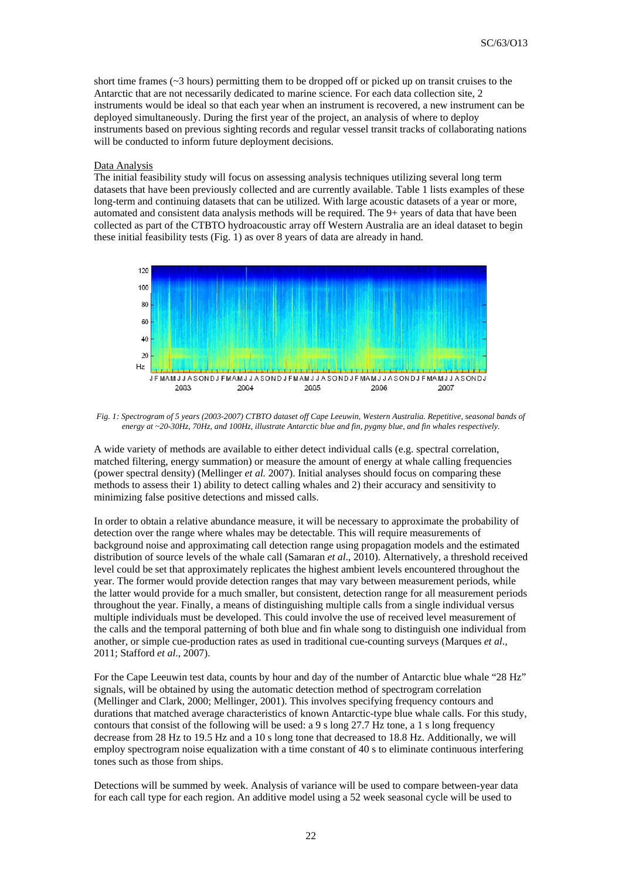short time frames (~3 hours) permitting them to be dropped off or picked up on transit cruises to the Antarctic that are not necessarily dedicated to marine science. For each data collection site, 2 instruments would be ideal so that each year when an instrument is recovered, a new instrument can be deployed simultaneously. During the first year of the project, an analysis of where to deploy instruments based on previous sighting records and regular vessel transit tracks of collaborating nations will be conducted to inform future deployment decisions.

### Data Analysis

The initial feasibility study will focus on assessing analysis techniques utilizing several long term datasets that have been previously collected and are currently available. Table 1 lists examples of these long-term and continuing datasets that can be utilized. With large acoustic datasets of a year or more, automated and consistent data analysis methods will be required. The 9+ years of data that have been collected as part of the CTBTO hydroacoustic array off Western Australia are an ideal dataset to begin these initial feasibility tests (Fig. 1) as over 8 years of data are already in hand.



*Fig. 1: Spectrogram of 5 years (2003-2007) CTBTO dataset off Cape Leeuwin, Western Australia. Repetitive, seasonal bands of energy at ~20-30Hz, 70Hz, and 100Hz, illustrate Antarctic blue and fin, pygmy blue, and fin whales respectively.* 

A wide variety of methods are available to either detect individual calls (e.g. spectral correlation, matched filtering, energy summation) or measure the amount of energy at whale calling frequencies (power spectral density) (Mellinger *et al.* 2007). Initial analyses should focus on comparing these methods to assess their 1) ability to detect calling whales and 2) their accuracy and sensitivity to minimizing false positive detections and missed calls.

In order to obtain a relative abundance measure, it will be necessary to approximate the probability of detection over the range where whales may be detectable. This will require measurements of background noise and approximating call detection range using propagation models and the estimated distribution of source levels of the whale call (Samaran *et al*., 2010). Alternatively, a threshold received level could be set that approximately replicates the highest ambient levels encountered throughout the year. The former would provide detection ranges that may vary between measurement periods, while the latter would provide for a much smaller, but consistent, detection range for all measurement periods throughout the year. Finally, a means of distinguishing multiple calls from a single individual versus multiple individuals must be developed. This could involve the use of received level measurement of the calls and the temporal patterning of both blue and fin whale song to distinguish one individual from another, or simple cue-production rates as used in traditional cue-counting surveys (Marques *et al*., 2011; Stafford *et al*., 2007).

For the Cape Leeuwin test data, counts by hour and day of the number of Antarctic blue whale "28 Hz" signals, will be obtained by using the automatic detection method of spectrogram correlation (Mellinger and Clark, 2000; Mellinger, 2001). This involves specifying frequency contours and durations that matched average characteristics of known Antarctic-type blue whale calls. For this study, contours that consist of the following will be used: a 9 s long 27.7 Hz tone, a 1 s long frequency decrease from 28 Hz to 19.5 Hz and a 10 s long tone that decreased to 18.8 Hz. Additionally, we will employ spectrogram noise equalization with a time constant of 40 s to eliminate continuous interfering tones such as those from ships.

Detections will be summed by week. Analysis of variance will be used to compare between-year data for each call type for each region. An additive model using a 52 week seasonal cycle will be used to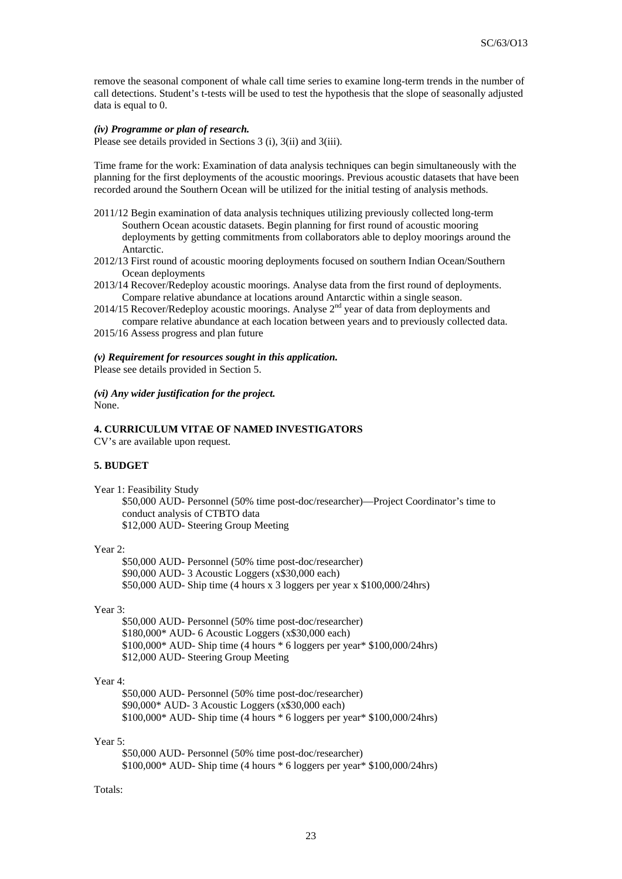remove the seasonal component of whale call time series to examine long-term trends in the number of call detections. Student's t-tests will be used to test the hypothesis that the slope of seasonally adjusted data is equal to 0.

## *(iv) Programme or plan of research.*

Please see details provided in Sections 3 (i), 3(ii) and 3(iii).

Time frame for the work: Examination of data analysis techniques can begin simultaneously with the planning for the first deployments of the acoustic moorings. Previous acoustic datasets that have been recorded around the Southern Ocean will be utilized for the initial testing of analysis methods.

- 2011/12 Begin examination of data analysis techniques utilizing previously collected long-term Southern Ocean acoustic datasets. Begin planning for first round of acoustic mooring deployments by getting commitments from collaborators able to deploy moorings around the Antarctic.
- 2012/13 First round of acoustic mooring deployments focused on southern Indian Ocean/Southern Ocean deployments
- 2013/14 Recover/Redeploy acoustic moorings. Analyse data from the first round of deployments. Compare relative abundance at locations around Antarctic within a single season.
- 2014/15 Recover/Redeploy acoustic moorings. Analyse  $2<sup>nd</sup>$  year of data from deployments and compare relative abundance at each location between years and to previously collected data.
- 2015/16 Assess progress and plan future

#### *(v) Requirement for resources sought in this application.*

Please see details provided in Section 5.

# *(vi) Any wider justification for the project.*

None.

## **4. CURRICULUM VITAE OF NAMED INVESTIGATORS**

CV's are available upon request.

#### **5. BUDGET**

Year 1: Feasibility Study

\$50,000 AUD- Personnel (50% time post-doc/researcher)—Project Coordinator's time to conduct analysis of CTBTO data \$12,000 AUD- Steering Group Meeting

#### Year 2:

\$50,000 AUD- Personnel (50% time post-doc/researcher) \$90,000 AUD- 3 Acoustic Loggers (x\$30,000 each) \$50,000 AUD- Ship time (4 hours x 3 loggers per year x \$100,000/24hrs)

## Year 3:

\$50,000 AUD- Personnel (50% time post-doc/researcher) \$180,000\* AUD- 6 Acoustic Loggers (x\$30,000 each) \$100,000\* AUD- Ship time (4 hours \* 6 loggers per year\* \$100,000/24hrs) \$12,000 AUD- Steering Group Meeting

## Year 4:

\$50,000 AUD- Personnel (50% time post-doc/researcher) \$90,000\* AUD- 3 Acoustic Loggers (x\$30,000 each) \$100,000\* AUD- Ship time (4 hours \* 6 loggers per year\* \$100,000/24hrs)

### Year 5:

\$50,000 AUD- Personnel (50% time post-doc/researcher) \$100,000\* AUD- Ship time (4 hours \* 6 loggers per year\* \$100,000/24hrs)

#### Totals: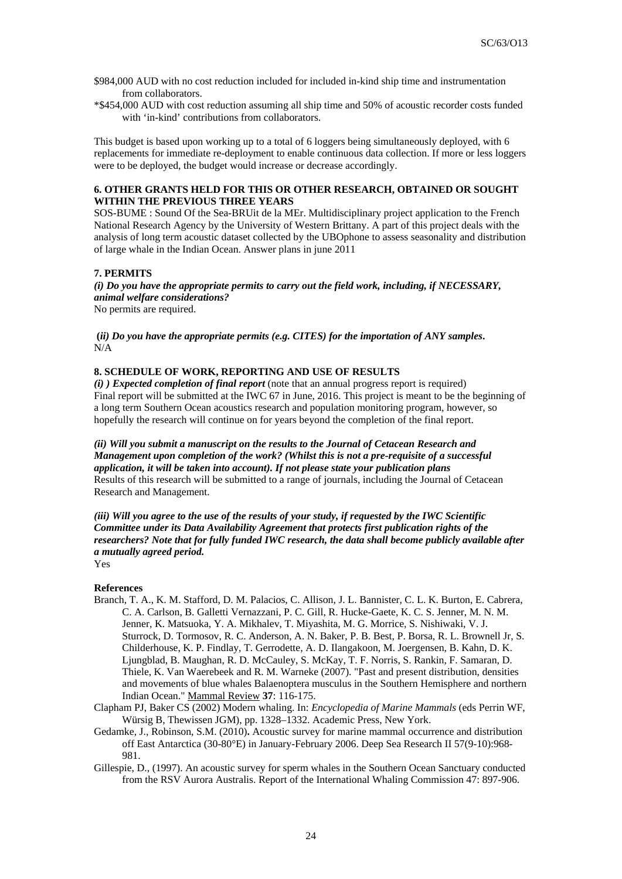- \$984,000 AUD with no cost reduction included for included in-kind ship time and instrumentation from collaborators.
- \*\$454,000 AUD with cost reduction assuming all ship time and 50% of acoustic recorder costs funded with 'in-kind' contributions from collaborators.

This budget is based upon working up to a total of 6 loggers being simultaneously deployed, with 6 replacements for immediate re-deployment to enable continuous data collection. If more or less loggers were to be deployed, the budget would increase or decrease accordingly.

## **6. OTHER GRANTS HELD FOR THIS OR OTHER RESEARCH, OBTAINED OR SOUGHT WITHIN THE PREVIOUS THREE YEARS**

SOS-BUME : Sound Of the Sea-BRUit de la MEr. Multidisciplinary project application to the French National Research Agency by the University of Western Brittany. A part of this project deals with the analysis of long term acoustic dataset collected by the UBOphone to assess seasonality and distribution of large whale in the Indian Ocean. Answer plans in june 2011

## **7. PERMITS**

*(i) Do you have the appropriate permits to carry out the field work, including, if NECESSARY, animal welfare considerations?* No permits are required.

 **(***ii) Do you have the appropriate permits (e.g. CITES) for the importation of ANY samples***.**  N/A

## **8. SCHEDULE OF WORK, REPORTING AND USE OF RESULTS**

*(i) ) Expected completion of final report* (note that an annual progress report is required) Final report will be submitted at the IWC 67 in June, 2016. This project is meant to be the beginning of a long term Southern Ocean acoustics research and population monitoring program, however, so hopefully the research will continue on for years beyond the completion of the final report.

*(ii) Will you submit a manuscript on the results to the Journal of Cetacean Research and Management upon completion of the work? (Whilst this is not a pre-requisite of a successful application, it will be taken into account). If not please state your publication plans*  Results of this research will be submitted to a range of journals, including the Journal of Cetacean Research and Management.

*(iii) Will you agree to the use of the results of your study, if requested by the IWC Scientific Committee under its Data Availability Agreement that protects first publication rights of the researchers? Note that for fully funded IWC research, the data shall become publicly available after a mutually agreed period.*

Yes

### **References**

- Branch, T. A., K. M. Stafford, D. M. Palacios, C. Allison, J. L. Bannister, C. L. K. Burton, E. Cabrera, C. A. Carlson, B. Galletti Vernazzani, P. C. Gill, R. Hucke-Gaete, K. C. S. Jenner, M. N. M. Jenner, K. Matsuoka, Y. A. Mikhalev, T. Miyashita, M. G. Morrice, S. Nishiwaki, V. J. Sturrock, D. Tormosov, R. C. Anderson, A. N. Baker, P. B. Best, P. Borsa, R. L. Brownell Jr, S. Childerhouse, K. P. Findlay, T. Gerrodette, A. D. Ilangakoon, M. Joergensen, B. Kahn, D. K. Ljungblad, B. Maughan, R. D. McCauley, S. McKay, T. F. Norris, S. Rankin, F. Samaran, D. Thiele, K. Van Waerebeek and R. M. Warneke (2007). "Past and present distribution, densities and movements of blue whales Balaenoptera musculus in the Southern Hemisphere and northern Indian Ocean." Mammal Review **37**: 116-175.
- Clapham PJ, Baker CS (2002) Modern whaling. In: *Encyclopedia of Marine Mammals* (eds Perrin WF, Würsig B, Thewissen JGM), pp. 1328–1332. Academic Press, New York.
- Gedamke, J., Robinson, S.M. (2010)**.** Acoustic survey for marine mammal occurrence and distribution off East Antarctica (30-80°E) in January-February 2006. Deep Sea Research II 57(9-10):968- 981.
- Gillespie, D., (1997). An acoustic survey for sperm whales in the Southern Ocean Sanctuary conducted from the RSV Aurora Australis. Report of the International Whaling Commission 47: 897-906.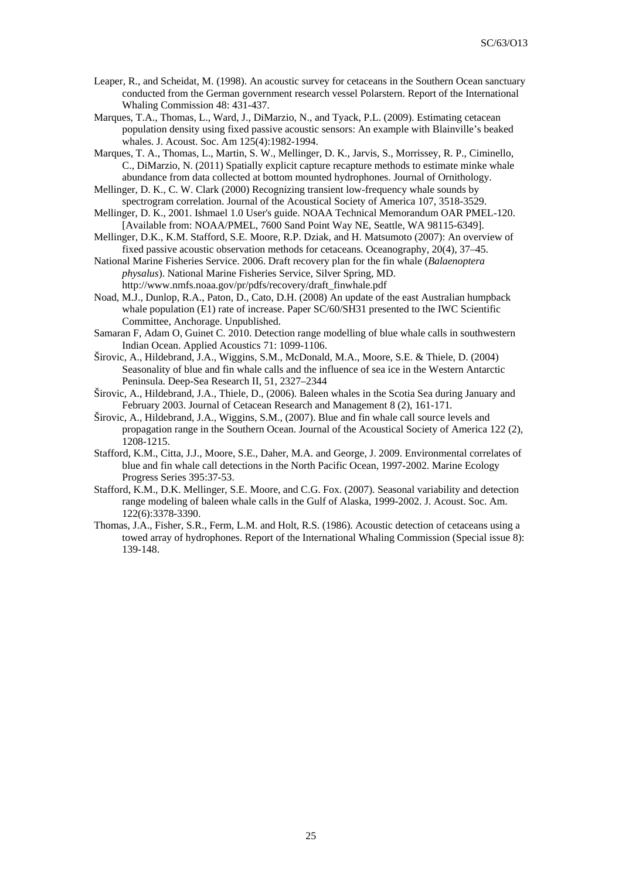- Leaper, R., and Scheidat, M. (1998). An acoustic survey for cetaceans in the Southern Ocean sanctuary conducted from the German government research vessel Polarstern. Report of the International Whaling Commission 48: 431-437.
- Marques, T.A., Thomas, L., Ward, J., DiMarzio, N., and Tyack, P.L. (2009). Estimating cetacean population density using fixed passive acoustic sensors: An example with Blainville's beaked whales. J. Acoust. Soc. Am 125(4):1982-1994.
- Marques, T. A., Thomas, L., Martin, S. W., Mellinger, D. K., Jarvis, S., Morrissey, R. P., Ciminello, C., DiMarzio, N. (2011) Spatially explicit capture recapture methods to estimate minke whale abundance from data collected at bottom mounted hydrophones. Journal of Ornithology.
- Mellinger, D. K., C. W. Clark (2000) Recognizing transient low-frequency whale sounds by spectrogram correlation. Journal of the Acoustical Society of America 107, 3518-3529.
- Mellinger, D. K., 2001. Ishmael 1.0 User's guide. NOAA Technical Memorandum OAR PMEL-120. [Available from: NOAA/PMEL, 7600 Sand Point Way NE, Seattle, WA 98115-6349].
- Mellinger, D.K., K.M. Stafford, S.E. Moore, R.P. Dziak, and H. Matsumoto (2007): An overview of fixed passive acoustic observation methods for cetaceans. Oceanography, 20(4), 37–45.
- National Marine Fisheries Service. 2006. Draft recovery plan for the fin whale (*Balaenoptera physalus*). National Marine Fisheries Service, Silver Spring, MD. http://www.nmfs.noaa.gov/pr/pdfs/recovery/draft\_finwhale.pdf
- Noad, M.J., Dunlop, R.A., Paton, D., Cato, D.H. (2008) An update of the east Australian humpback whale population (E1) rate of increase. Paper SC/60/SH31 presented to the IWC Scientific Committee, Anchorage. Unpublished.
- Samaran F, Adam O, Guinet C. 2010. Detection range modelling of blue whale calls in southwestern Indian Ocean. Applied Acoustics 71: 1099-1106.
- Širovic, A., Hildebrand, J.A., Wiggins, S.M., McDonald, M.A., Moore, S.E. & Thiele, D. (2004) Seasonality of blue and fin whale calls and the influence of sea ice in the Western Antarctic Peninsula. Deep-Sea Research II, 51, 2327–2344
- Širovic, A., Hildebrand, J.A., Thiele, D., (2006). Baleen whales in the Scotia Sea during January and February 2003. Journal of Cetacean Research and Management 8 (2), 161-171*.*
- Širovic, A., Hildebrand, J.A., Wiggins, S.M., (2007). Blue and fin whale call source levels and propagation range in the Southern Ocean. Journal of the Acoustical Society of America 122 (2), 1208-1215.
- Stafford, K.M., Citta, J.J., Moore, S.E., Daher, M.A. and George, J. 2009. Environmental correlates of blue and fin whale call detections in the North Pacific Ocean, 1997-2002. Marine Ecology Progress Series 395:37-53.
- Stafford, K.M., D.K. Mellinger, S.E. Moore, and C.G. Fox. (2007). Seasonal variability and detection range modeling of baleen whale calls in the Gulf of Alaska, 1999-2002. J. Acoust. Soc. Am. 122(6):3378-3390.
- Thomas, J.A., Fisher, S.R., Ferm, L.M. and Holt, R.S. (1986). Acoustic detection of cetaceans using a towed array of hydrophones. Report of the International Whaling Commission (Special issue 8): 139-148.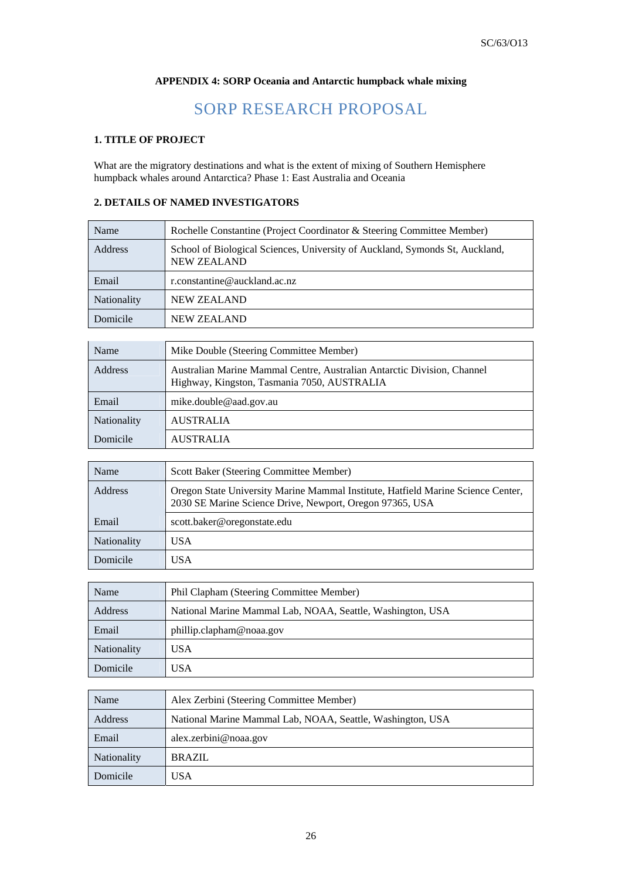# **APPENDIX 4: SORP Oceania and Antarctic humpback whale mixing**

# SORP RESEARCH PROPOSAL

# **1. TITLE OF PROJECT**

What are the migratory destinations and what is the extent of mixing of Southern Hemisphere humpback whales around Antarctica? Phase 1: East Australia and Oceania

# **2. DETAILS OF NAMED INVESTIGATORS**

| Name           | Rochelle Constantine (Project Coordinator & Steering Committee Member)                             |
|----------------|----------------------------------------------------------------------------------------------------|
| <b>Address</b> | School of Biological Sciences, University of Auckland, Symonds St, Auckland,<br><b>NEW ZEALAND</b> |
| Email          | r.constantine@auckland.ac.nz                                                                       |
| Nationality    | <b>NEW ZEALAND</b>                                                                                 |
| Domicile       | <b>NEW ZEALAND</b>                                                                                 |

| Name               | Mike Double (Steering Committee Member)                                                                                |  |
|--------------------|------------------------------------------------------------------------------------------------------------------------|--|
| Address            | Australian Marine Mammal Centre, Australian Antarctic Division, Channel<br>Highway, Kingston, Tasmania 7050, AUSTRALIA |  |
| Email              | mike.double@aad.gov.au                                                                                                 |  |
| <b>Nationality</b> | <b>AUSTRALIA</b>                                                                                                       |  |
| Domicile           | <b>AUSTRALIA</b>                                                                                                       |  |

| Name               | Scott Baker (Steering Committee Member)                                                                                                      |  |
|--------------------|----------------------------------------------------------------------------------------------------------------------------------------------|--|
| <b>Address</b>     | Oregon State University Marine Mammal Institute, Hatfield Marine Science Center,<br>2030 SE Marine Science Drive, Newport, Oregon 97365, USA |  |
| Email              | scott.baker@oregonstate.edu                                                                                                                  |  |
| <b>Nationality</b> | <b>USA</b>                                                                                                                                   |  |
| Domicile           | USA                                                                                                                                          |  |

| Name               | Phil Clapham (Steering Committee Member)                   |  |  |
|--------------------|------------------------------------------------------------|--|--|
| Address            | National Marine Mammal Lab, NOAA, Seattle, Washington, USA |  |  |
| Email              | phillip.clapham@noaa.gov                                   |  |  |
| <b>Nationality</b> | USA                                                        |  |  |
| Domicile           | USA                                                        |  |  |

| Name               | Alex Zerbini (Steering Committee Member)                   |  |  |
|--------------------|------------------------------------------------------------|--|--|
| Address            | National Marine Mammal Lab, NOAA, Seattle, Washington, USA |  |  |
| Email              | alex.zerbini@noaa.gov                                      |  |  |
| <b>Nationality</b> | <b>BRAZIL</b>                                              |  |  |
| Domicile           | USA.                                                       |  |  |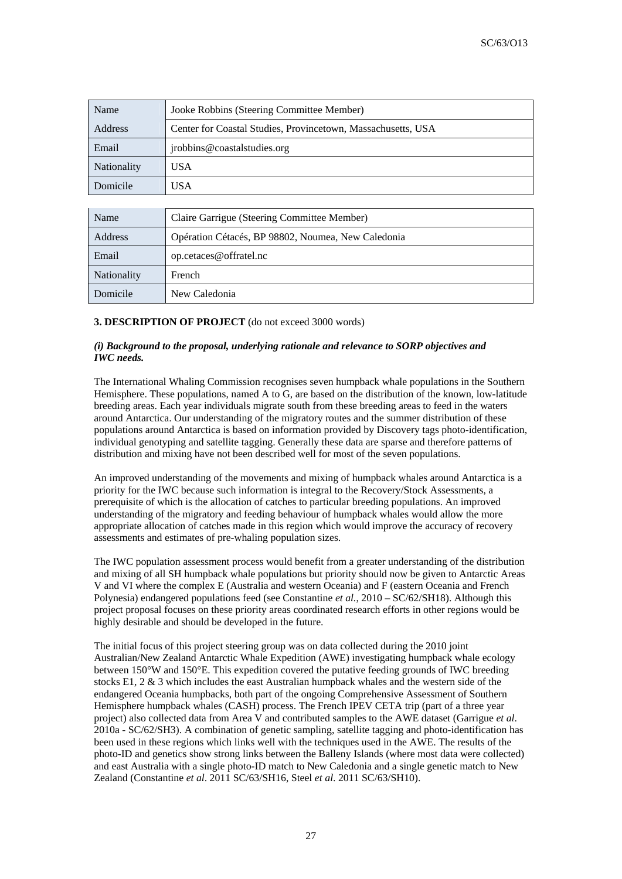| Name        | Jooke Robbins (Steering Committee Member)                    |  |  |
|-------------|--------------------------------------------------------------|--|--|
| Address     | Center for Coastal Studies, Provincetown, Massachusetts, USA |  |  |
| Email       | jrobbins@coastalstudies.org                                  |  |  |
| Nationality | USA                                                          |  |  |
| Domicile    | USA                                                          |  |  |

| Name               | Claire Garrigue (Steering Committee Member)        |  |
|--------------------|----------------------------------------------------|--|
| Address            | Opération Cétacés, BP 98802, Noumea, New Caledonia |  |
| Email              | op.cetaces@offratel.nc                             |  |
| <b>Nationality</b> | French                                             |  |
| Domicile           | New Caledonia                                      |  |

# **3. DESCRIPTION OF PROJECT** (do not exceed 3000 words)

## *(i) Background to the proposal, underlying rationale and relevance to SORP objectives and IWC needs.*

The International Whaling Commission recognises seven humpback whale populations in the Southern Hemisphere. These populations, named A to G, are based on the distribution of the known, low-latitude breeding areas. Each year individuals migrate south from these breeding areas to feed in the waters around Antarctica. Our understanding of the migratory routes and the summer distribution of these populations around Antarctica is based on information provided by Discovery tags photo-identification, individual genotyping and satellite tagging. Generally these data are sparse and therefore patterns of distribution and mixing have not been described well for most of the seven populations.

An improved understanding of the movements and mixing of humpback whales around Antarctica is a priority for the IWC because such information is integral to the Recovery/Stock Assessments, a prerequisite of which is the allocation of catches to particular breeding populations. An improved understanding of the migratory and feeding behaviour of humpback whales would allow the more appropriate allocation of catches made in this region which would improve the accuracy of recovery assessments and estimates of pre-whaling population sizes.

The IWC population assessment process would benefit from a greater understanding of the distribution and mixing of all SH humpback whale populations but priority should now be given to Antarctic Areas V and VI where the complex E (Australia and western Oceania) and F (eastern Oceania and French Polynesia) endangered populations feed (see Constantine *et al.*, 2010 – SC/62/SH18). Although this project proposal focuses on these priority areas coordinated research efforts in other regions would be highly desirable and should be developed in the future.

The initial focus of this project steering group was on data collected during the 2010 joint Australian/New Zealand Antarctic Whale Expedition (AWE) investigating humpback whale ecology between 150°W and 150°E. This expedition covered the putative feeding grounds of IWC breeding stocks E1,  $2 \& 3$  which includes the east Australian humpback whales and the western side of the endangered Oceania humpbacks, both part of the ongoing Comprehensive Assessment of Southern Hemisphere humpback whales (CASH) process. The French IPEV CETA trip (part of a three year project) also collected data from Area V and contributed samples to the AWE dataset (Garrigue *et al*. 2010a - SC/62/SH3). A combination of genetic sampling, satellite tagging and photo-identification has been used in these regions which links well with the techniques used in the AWE. The results of the photo-ID and genetics show strong links between the Balleny Islands (where most data were collected) and east Australia with a single photo-ID match to New Caledonia and a single genetic match to New Zealand (Constantine *et al*. 2011 SC/63/SH16, Steel *et al*. 2011 SC/63/SH10).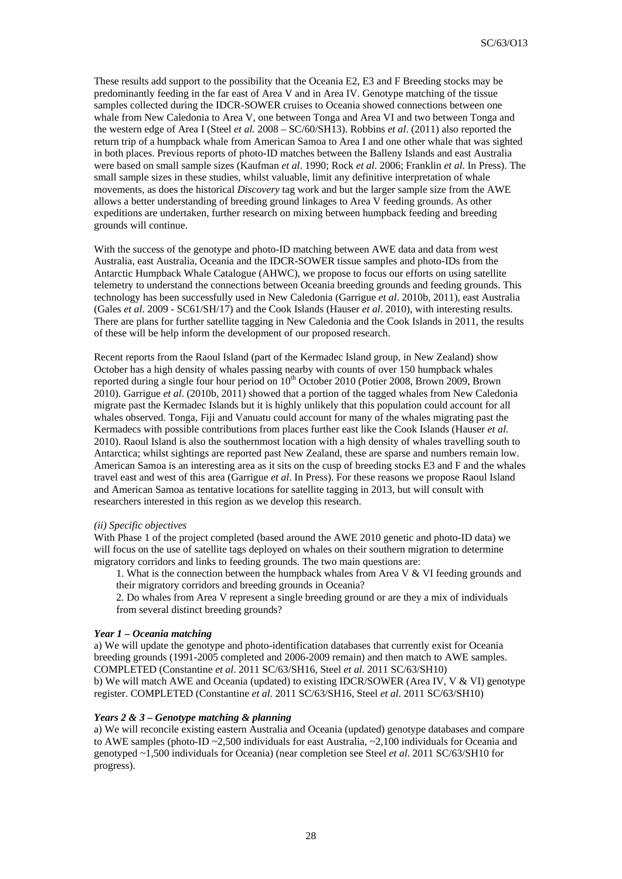These results add support to the possibility that the Oceania E2, E3 and F Breeding stocks may be predominantly feeding in the far east of Area V and in Area IV. Genotype matching of the tissue samples collected during the IDCR-SOWER cruises to Oceania showed connections between one whale from New Caledonia to Area V, one between Tonga and Area VI and two between Tonga and the western edge of Area I (Steel *et al.* 2008 – SC/60/SH13). Robbins *et al*. (2011) also reported the return trip of a humpback whale from American Samoa to Area I and one other whale that was sighted in both places. Previous reports of photo-ID matches between the Balleny Islands and east Australia were based on small sample sizes (Kaufman *et al*. 1990; Rock *et al*. 2006; Franklin *et al*. In Press). The small sample sizes in these studies, whilst valuable, limit any definitive interpretation of whale movements, as does the historical *Discovery* tag work and but the larger sample size from the AWE allows a better understanding of breeding ground linkages to Area V feeding grounds. As other expeditions are undertaken, further research on mixing between humpback feeding and breeding grounds will continue.

With the success of the genotype and photo-ID matching between AWE data and data from west Australia, east Australia, Oceania and the IDCR-SOWER tissue samples and photo-IDs from the Antarctic Humpback Whale Catalogue (AHWC), we propose to focus our efforts on using satellite telemetry to understand the connections between Oceania breeding grounds and feeding grounds. This technology has been successfully used in New Caledonia (Garrigue *et al*. 2010b, 2011), east Australia (Gales *et al*. 2009 - SC61/SH/17) and the Cook Islands (Hauser *et al*. 2010), with interesting results. There are plans for further satellite tagging in New Caledonia and the Cook Islands in 2011, the results of these will be help inform the development of our proposed research.

Recent reports from the Raoul Island (part of the Kermadec Island group, in New Zealand) show October has a high density of whales passing nearby with counts of over 150 humpback whales reported during a single four hour period on  $10<sup>th</sup>$  October 2010 (Potier 2008, Brown 2009, Brown 2010). Garrigue *et al*. (2010b, 2011) showed that a portion of the tagged whales from New Caledonia migrate past the Kermadec Islands but it is highly unlikely that this population could account for all whales observed. Tonga, Fiji and Vanuatu could account for many of the whales migrating past the Kermadecs with possible contributions from places further east like the Cook Islands (Hauser *et al*. 2010). Raoul Island is also the southernmost location with a high density of whales travelling south to Antarctica; whilst sightings are reported past New Zealand, these are sparse and numbers remain low. American Samoa is an interesting area as it sits on the cusp of breeding stocks E3 and F and the whales travel east and west of this area (Garrigue *et al*. In Press). For these reasons we propose Raoul Island and American Samoa as tentative locations for satellite tagging in 2013, but will consult with researchers interested in this region as we develop this research.

#### *(ii) Specific objectives*

With Phase 1 of the project completed (based around the AWE 2010 genetic and photo-ID data) we will focus on the use of satellite tags deployed on whales on their southern migration to determine migratory corridors and links to feeding grounds. The two main questions are:

1. What is the connection between the humpback whales from Area V & VI feeding grounds and their migratory corridors and breeding grounds in Oceania?

2. Do whales from Area V represent a single breeding ground or are they a mix of individuals from several distinct breeding grounds?

## *Year 1 – Oceania matching*

a) We will update the genotype and photo-identification databases that currently exist for Oceania breeding grounds (1991-2005 completed and 2006-2009 remain) and then match to AWE samples. COMPLETED (Constantine *et al*. 2011 SC/63/SH16, Steel *et al*. 2011 SC/63/SH10) b) We will match AWE and Oceania (updated) to existing IDCR/SOWER (Area IV, V & VI) genotype register. COMPLETED (Constantine *et al*. 2011 SC/63/SH16, Steel *et al*. 2011 SC/63/SH10)

#### *Years 2 & 3 – Genotype matching & planning*

a) We will reconcile existing eastern Australia and Oceania (updated) genotype databases and compare to AWE samples (photo-ID ~2,500 individuals for east Australia, ~2,100 individuals for Oceania and genotyped ~1,500 individuals for Oceania) (near completion see Steel *et al*. 2011 SC/63/SH10 for progress).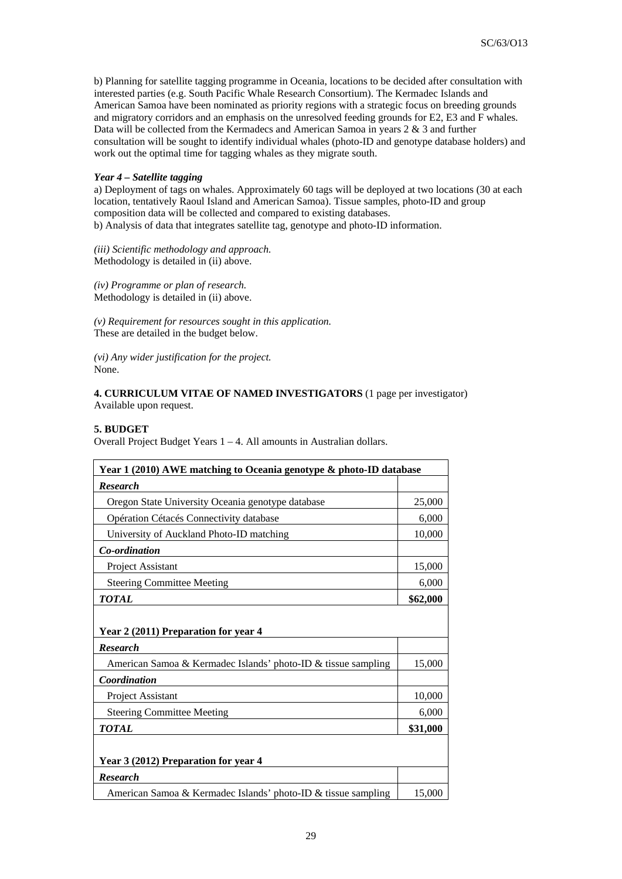b) Planning for satellite tagging programme in Oceania, locations to be decided after consultation with interested parties (e.g. South Pacific Whale Research Consortium). The Kermadec Islands and American Samoa have been nominated as priority regions with a strategic focus on breeding grounds and migratory corridors and an emphasis on the unresolved feeding grounds for E2, E3 and F whales. Data will be collected from the Kermadecs and American Samoa in years 2 & 3 and further consultation will be sought to identify individual whales (photo-ID and genotype database holders) and work out the optimal time for tagging whales as they migrate south.

## *Year 4 – Satellite tagging*

a) Deployment of tags on whales. Approximately 60 tags will be deployed at two locations (30 at each location, tentatively Raoul Island and American Samoa). Tissue samples, photo-ID and group composition data will be collected and compared to existing databases. b) Analysis of data that integrates satellite tag, genotype and photo-ID information.

*(iii) Scientific methodology and approach.*  Methodology is detailed in (ii) above.

*(iv) Programme or plan of research.*  Methodology is detailed in (ii) above.

*(v) Requirement for resources sought in this application.*  These are detailed in the budget below.

*(vi) Any wider justification for the project.*  None.

## **4. CURRICULUM VITAE OF NAMED INVESTIGATORS** (1 page per investigator) Available upon request.

## **5. BUDGET**

Overall Project Budget Years 1 – 4. All amounts in Australian dollars.

| Year 1 (2010) AWE matching to Oceania genotype & photo-ID database |        |  |  |
|--------------------------------------------------------------------|--------|--|--|
| <b>Research</b>                                                    |        |  |  |
| Oregon State University Oceania genotype database                  |        |  |  |
| Opération Cétacés Connectivity database                            |        |  |  |
| University of Auckland Photo-ID matching                           |        |  |  |
| Co-ordination                                                      |        |  |  |
| Project Assistant                                                  | 15,000 |  |  |
| <b>Steering Committee Meeting</b>                                  |        |  |  |
| <b>TOTAL</b>                                                       |        |  |  |
| Year 2 (2011) Preparation for year 4<br><b>Research</b>            |        |  |  |
| American Samoa & Kermadec Islands' photo-ID & tissue sampling      |        |  |  |
| Coordination                                                       |        |  |  |
| <b>Project Assistant</b>                                           |        |  |  |
| <b>Steering Committee Meeting</b>                                  |        |  |  |
| <b>TOTAL</b>                                                       |        |  |  |
| Year 3 (2012) Preparation for year 4                               |        |  |  |
| <b>Research</b>                                                    |        |  |  |
| American Samoa & Kermadec Islands' photo-ID & tissue sampling      |        |  |  |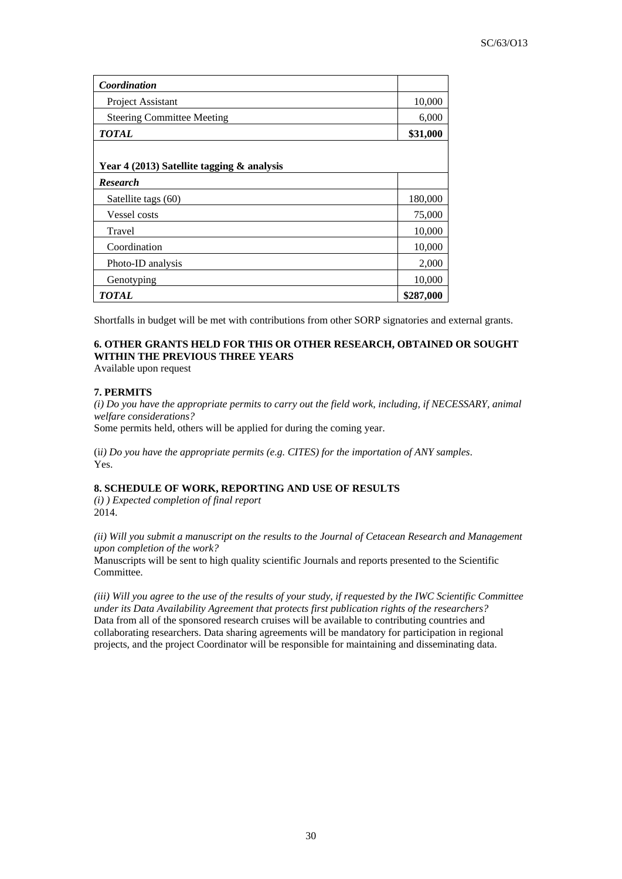| Coordination                               |           |  |  |
|--------------------------------------------|-----------|--|--|
| Project Assistant                          | 10,000    |  |  |
| <b>Steering Committee Meeting</b>          | 6,000     |  |  |
| <b>TOTAL</b>                               | \$31,000  |  |  |
|                                            |           |  |  |
| Year 4 (2013) Satellite tagging & analysis |           |  |  |
| <b>Research</b>                            |           |  |  |
| Satellite tags (60)                        | 180,000   |  |  |
| Vessel costs                               | 75,000    |  |  |
| Travel                                     | 10,000    |  |  |
| Coordination                               | 10,000    |  |  |
| Photo-ID analysis                          | 2,000     |  |  |
| Genotyping                                 | 10,000    |  |  |
| TOTAL                                      | \$287,000 |  |  |

Shortfalls in budget will be met with contributions from other SORP signatories and external grants.

# **6. OTHER GRANTS HELD FOR THIS OR OTHER RESEARCH, OBTAINED OR SOUGHT WITHIN THE PREVIOUS THREE YEARS**

Available upon request

## **7. PERMITS**

*(i) Do you have the appropriate permits to carry out the field work, including, if NECESSARY, animal welfare considerations?*  Some permits held, others will be applied for during the coming year.

(i*i) Do you have the appropriate permits (e.g. CITES) for the importation of ANY samples*. Yes.

# **8. SCHEDULE OF WORK, REPORTING AND USE OF RESULTS**

*(i) ) Expected completion of final report* 2014.

*(ii) Will you submit a manuscript on the results to the Journal of Cetacean Research and Management upon completion of the work?* 

Manuscripts will be sent to high quality scientific Journals and reports presented to the Scientific Committee.

*(iii) Will you agree to the use of the results of your study, if requested by the IWC Scientific Committee under its Data Availability Agreement that protects first publication rights of the researchers?*  Data from all of the sponsored research cruises will be available to contributing countries and collaborating researchers. Data sharing agreements will be mandatory for participation in regional projects, and the project Coordinator will be responsible for maintaining and disseminating data.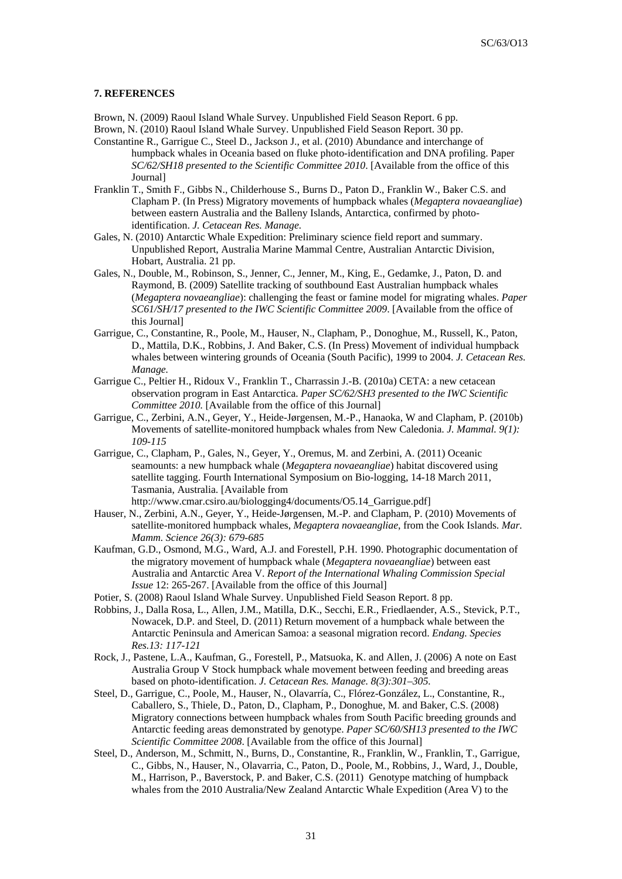#### **7. REFERENCES**

Brown, N. (2009) Raoul Island Whale Survey. Unpublished Field Season Report. 6 pp.

- Brown, N. (2010) Raoul Island Whale Survey. Unpublished Field Season Report. 30 pp.
- Constantine R., Garrigue C., Steel D., Jackson J., et al. (2010) Abundance and interchange of humpback whales in Oceania based on fluke photo-identification and DNA profiling. Paper *SC/62/SH18 presented to the Scientific Committee 2010*. [Available from the office of this Journal]
- Franklin T., Smith F., Gibbs N., Childerhouse S., Burns D., Paton D., Franklin W., Baker C.S. and Clapham P. (In Press) Migratory movements of humpback whales (*Megaptera novaeangliae*) between eastern Australia and the Balleny Islands, Antarctica, confirmed by photoidentification. *J. Cetacean Res. Manage.*
- Gales, N. (2010) Antarctic Whale Expedition: Preliminary science field report and summary. Unpublished Report, Australia Marine Mammal Centre, Australian Antarctic Division, Hobart, Australia. 21 pp.
- Gales, N., Double, M., Robinson, S., Jenner, C., Jenner, M., King, E., Gedamke, J., Paton, D. and Raymond, B. (2009) Satellite tracking of southbound East Australian humpback whales (*Megaptera novaeangliae*): challenging the feast or famine model for migrating whales. *Paper SC61/SH/17 presented to the IWC Scientific Committee 2009*. [Available from the office of this Journal]
- Garrigue, C., Constantine, R., Poole, M., Hauser, N., Clapham, P., Donoghue, M., Russell, K., Paton, D., Mattila, D.K., Robbins, J. And Baker, C.S. (In Press) Movement of individual humpback whales between wintering grounds of Oceania (South Pacific), 1999 to 2004. *J. Cetacean Res. Manage.*
- Garrigue C., Peltier H., Ridoux V., Franklin T., Charrassin J.-B. (2010a) CETA: a new cetacean observation program in East Antarctica. *Paper SC/62/SH3 presented to the IWC Scientific Committee 2010.* [Available from the office of this Journal]
- Garrigue, C., Zerbini, A.N., Geyer, Y., Heide-Jørgensen, M.-P., Hanaoka, W and Clapham, P. (2010b) Movements of satellite-monitored humpback whales from New Caledonia. *J. Mammal. 9(1): 109-115*
- Garrigue, C., Clapham, P., Gales, N., Geyer, Y., Oremus, M. and Zerbini, A. (2011) Oceanic seamounts: a new humpback whale (*Megaptera novaeangliae*) habitat discovered using satellite tagging. Fourth International Symposium on Bio-logging, 14-18 March 2011, Tasmania, Australia. [Available from http://www.cmar.csiro.au/biologging4/documents/O5.14\_Garrigue.pdf]
- Hauser, N., Zerbini, A.N., Geyer, Y., Heide-Jørgensen, M.-P. and Clapham, P. (2010) Movements of satellite-monitored humpback whales, *Megaptera novaeangliae*, from the Cook Islands. *Mar. Mamm. Science 26(3): 679-685*
- Kaufman, G.D., Osmond, M.G., Ward, A.J. and Forestell, P.H. 1990. Photographic documentation of the migratory movement of humpback whale (*Megaptera novaeangliae*) between east Australia and Antarctic Area V. *Report of the International Whaling Commission Special Issue* 12: 265-267. [Available from the office of this Journal]
- Potier, S. (2008) Raoul Island Whale Survey. Unpublished Field Season Report. 8 pp.
- Robbins, J., Dalla Rosa, L., Allen, J.M., Matilla, D.K., Secchi, E.R., Friedlaender, A.S., Stevick, P.T., Nowacek, D.P. and Steel, D. (2011) Return movement of a humpback whale between the Antarctic Peninsula and American Samoa: a seasonal migration record. *Endang. Species Res.13: 117-121*
- Rock, J., Pastene, L.A., Kaufman, G., Forestell, P., Matsuoka, K. and Allen, J. (2006) A note on East Australia Group V Stock humpback whale movement between feeding and breeding areas based on photo-identification. *J. Cetacean Res. Manage. 8(3):301–305.*
- Steel, D., Garrigue, C., Poole, M., Hauser, N., Olavarría, C., Flórez-González, L., Constantine, R., Caballero, S., Thiele, D., Paton, D., Clapham, P., Donoghue, M. and Baker, C.S. (2008) Migratory connections between humpback whales from South Pacific breeding grounds and Antarctic feeding areas demonstrated by genotype. *Paper SC/60/SH13 presented to the IWC Scientific Committee 2008*. [Available from the office of this Journal]
- Steel, D., Anderson, M., Schmitt, N., Burns, D., Constantine, R., Franklin, W., Franklin, T., Garrigue, C., Gibbs, N., Hauser, N., Olavarria, C., Paton, D., Poole, M., Robbins, J., Ward, J., Double, M., Harrison, P., Baverstock, P. and Baker, C.S. (2011) Genotype matching of humpback whales from the 2010 Australia/New Zealand Antarctic Whale Expedition (Area V) to the